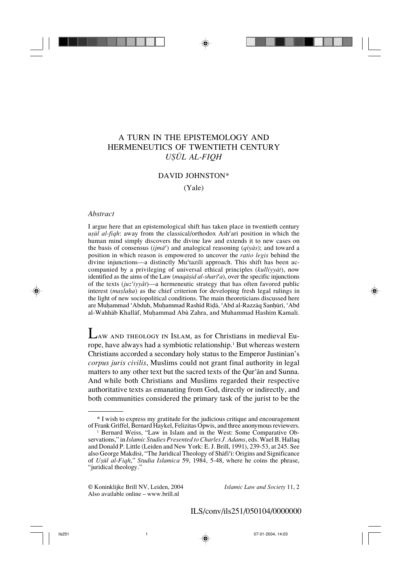# A TURN IN THE EPISTEMOLOGY AND HERMENEUTICS OF TWENTIETH CENTURY USUL AL-FIQH

#### DAVID JOHNSTON\*

#### (Yale)

#### *Abstract*

I argue here that an epistemological shift has taken place in twentieth century *usūl al-fiqh*: away from the classical/orthodox Ash<sup>*c*</sup>arī position in which the human mind simply discovers the divine law and extends it to new cases on the basis of consensus ( $ijm\bar{a}$ <sup>c</sup>) and analogical reasoning ( $qiy\bar{a}s$ ); and toward a position in which reason is empowered to uncover the *ratio legis* behind the divine injunctions—a distinctly Mu'tazili approach. This shift has been accompanied by a privileging of universal ethical principles (*kulliyyat*), now identified as the aims of the Law (*maqāṣid al-sharī'a*), over the specific injunctions of the texts  $(juz^2iyydt)$ —a hermeneutic strategy that has often favored public interest (*ma*slaha) as the chief criterion for developing fresh legal rulings in the light of new sociopolitical conditions. The main theoreticians discussed here are Muhammad 'Abduh, Muhammad Rashīd Ridā, 'Abd al-Razzāq Sanḥūrī, 'Abd al-Wahhāb Khallāf, Muhammad Abū Zahra, and Muhammad Hashim Kamali.

Law and theology in Islam, as for Christians in medieval Europe, have always had a symbiotic relationship.<sup>1</sup> But whereas western Christians accorded a secondary holy status to the Emperor Justinian's *corpus juris civilis*, Muslims could not grant final authority in legal matters to any other text but the sacred texts of the Qur'an and Sunna. And while both Christians and Muslims regarded their respective authoritative texts as emanating from God, directly or indirectly, and both communities considered the primary task of the jurist to be the

© Koninklijke Brill NV, Leiden, 2004 *Islamic Law and Society* 11, 2 Also available online – www.brill.nl

ILS/conv/ils251/050104/0000000

<sup>\*</sup> I wish to express my gratitude for the judicious critique and encouragement of Frank Griffel, Bernard Haykel, Felizitas Opwis, and three anonymous reviewers.

<sup>1</sup> Bernard Weiss, "Law in Islam and in the West: Some Comparative Observations," in *Islamic Studies Presented to Charles J. Adams*, eds. Wael B. Hallaq and Donald P. Little (Leiden and New York: E. J. Brill, 1991), 239-53, at 245. See also George Makdisi, "The Juridical Theology of Shafi'i: Origins and Significance of *U◊'l al-Fiqh*," *Studia Islamica* 59, 1984, 5-48, where he coins the phrase, "juridical theology."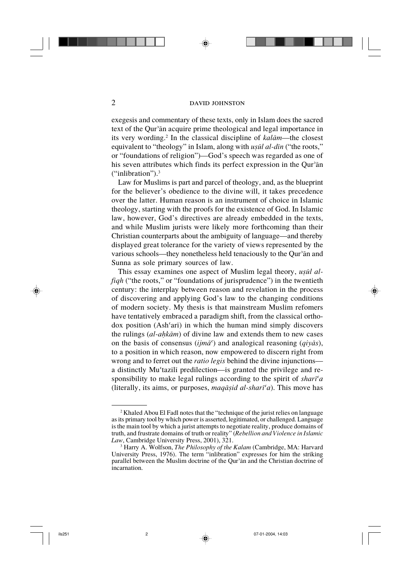exegesis and commentary of these texts, only in Islam does the sacred text of the Qur'an acquire prime theological and legal importance in its very wording.<sup>2</sup> In the classical discipline of *kalām*—the closest equivalent to "theology" in Islam, along with *uṣūl al-dīn* ("the roots," or "foundations of religion")—God's speech was regarded as one of his seven attributes which finds its perfect expression in the Qur'an ("inlibration").3

Law for Muslims is part and parcel of theology, and, as the blueprint for the believer's obedience to the divine will, it takes precedence over the latter. Human reason is an instrument of choice in Islamic theology, starting with the proofs for the existence of God. In Islamic law, however, God's directives are already embedded in the texts, and while Muslim jurists were likely more forthcoming than their Christian counterparts about the ambiguity of language—and thereby displayed great tolerance for the variety of views represented by the various schools—they nonetheless held tenaciously to the Qur'an and Sunna as sole primary sources of law.

This essay examines one aspect of Muslim legal theory, *usul alfigh* ("the roots," or "foundations of jurisprudence") in the twentieth century: the interplay between reason and revelation in the process of discovering and applying God's law to the changing conditions of modern society. My thesis is that mainstream Muslim refomers have tentatively embraced a paradigm shift, from the classical ortho $d$ ox position (Ash'arī) in which the human mind simply discovers the rulings (*al-ahkām*) of divine law and extends them to new cases on the basis of consensus (*ijmā*<sup>c</sup>) and analogical reasoning (*qiyās*), to a position in which reason, now empowered to discern right from wrong and to ferret out the *ratio legis* behind the divine injunctions a distinctly Mu<sup>stazil</sup> predilection—is granted the privilege and responsibility to make legal rulings according to the spirit of *shart<sup>c</sup>a* (literally, its aims, or purposes, *maqāṣid al-sharī<sup>c</sup>a*). This move has

 $^2$  Khaled Abou El Fadl notes that the "technique of the jurist relies on language as its primary tool by which power is asserted, legitimated, or challenged. Language is the main tool by which a jurist attempts to negotiate reality, produce domains of truth, and frustrate domains of truth or reality" (*Rebellion and Violence in Islamic Law*, Cambridge University Press, 2001), 321.

<sup>3</sup> Harry A. Wolfson, *The Philosophy of the Kalam* (Cambridge, MA: Harvard University Press, 1976). The term "inlibration" expresses for him the striking parallel between the Muslim doctrine of the Qur'an and the Christian doctrine of incarnation.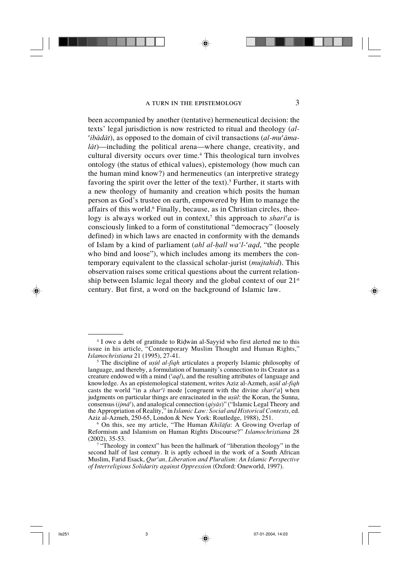been accompanied by another (tentative) hermeneutical decision: the texts' legal jurisdiction is now restricted to ritual and theology (*al-Hibādāt*), as opposed to the domain of civil transactions (al-mu'āma*lāt*)—including the political arena—where change, creativity, and cultural diversity occurs over time.<sup>4</sup> This theological turn involves ontology (the status of ethical values), epistemology (how much can the human mind know?) and hermeneutics (an interpretive strategy favoring the spirit over the letter of the text).<sup>5</sup> Further, it starts with a new theology of humanity and creation which posits the human person as God's trustee on earth, empowered by Him to manage the affairs of this world.<sup>6</sup> Finally, because, as in Christian circles, theology is always worked out in context,<sup>7</sup> this approach to *shart<sup>c</sup>a* is consciously linked to a form of constitutional "democracy" (loosely defined) in which laws are enacted in conformity with the demands of Islam by a kind of parliament (*ahl al-hall wa'l-'aqd*, "the people who bind and loose"), which includes among its members the contemporary equivalent to the classical scholar-jurist (*mujtahid*). This observation raises some critical questions about the current relationship between Islamic legal theory and the global context of our  $21<sup>st</sup>$ century. But first, a word on the background of Islamic law.

<sup>&</sup>lt;sup>4</sup> I owe a debt of gratitude to Ridwān al-Sayyid who first alerted me to this issue in his article, "Contemporary Muslim Thought and Human Rights," *Islamochristiana* 21 (1995), 27-41.

<sup>&</sup>lt;sup>5</sup> The discipline of *usūl al-fiqh* articulates a properly Islamic philosophy of language, and thereby, a formulation of humanity's connection to its Creator as a creature endowed with a mind ('aql), and the resulting attributes of language and knowledge. As an epistemological statement, writes Aziz al-Azmeh, *usūl al-fiqh* casts the world "in a *shar'i* mode [congruent with the divine *shari'a*] when judgments on particular things are enracinated in the *usūl*: the Koran, the Sunna, consensus (*ijmā*<sup>c</sup>), and analogical connection (*qiyās*)" ("Islamic Legal Theory and the Appropriation of Reality," in *Islamic Law: Social and Historical Contexts*, ed. Aziz al-Azmeh, 250-65, London & New York: Routledge, 1988), 251.

<sup>&</sup>lt;sup>6</sup> On this, see my article, "The Human *Khilāfa*: A Growing Overlap of Reformism and Islamism on Human Rights Discourse?" *Islamochristiana* 28 (2002), 35-53.

<sup>&</sup>lt;sup>7</sup> "Theology in context" has been the hallmark of "liberation theology" in the second half of last century. It is aptly echoed in the work of a South African Muslim, Farid Esack, *Qur'an, Liberation and Pluralism: An Islamic Perspective of Interreligious Solidarity against Oppression* (Oxford: Oneworld, 1997).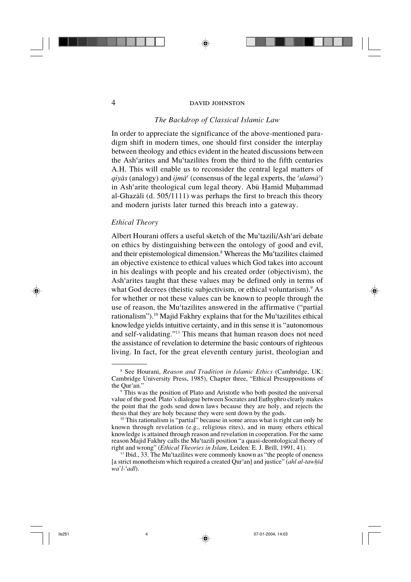#### *The Backdrop of Classical Islamic Law*

In order to appreciate the significance of the above-mentioned paradigm shift in modern times, one should first consider the interplay between theology and ethics evident in the heated discussions between the Ash'arites and Mu'tazilites from the third to the fifth centuries A.H. This will enable us to reconsider the central legal matters of *qiyās* (analogy) and *ijmā*<sup> $\epsilon$ </sup> (consensus of the legal experts, the *'ulamā'*) in Ash'arite theological cum legal theory. Abū Hamīd Muhammad al-Ghazālī (d. 505/1111) was perhaps the first to breach this theory and modern jurists later turned this breach into a gateway.

### *Ethical Theory*

Albert Hourani offers a useful sketch of the Mu'tazili/Ash'arī debate on ethics by distinguishing between the ontology of good and evil, and their epistemological dimension.<sup>8</sup> Whereas the Mu'tazilites claimed an objective existence to ethical values which God takes into account in his dealings with people and his created order (objectivism), the Ash'arites taught that these values may be defined only in terms of what God decrees (theistic subjectivism, or ethical voluntarism). $9$  As for whether or not these values can be known to people through the use of reason, the Mu'tazilites answered in the affirmative ("partial rationalism").<sup>10</sup> Majid Fakhry explains that for the Mu'tazilites ethical knowledge yields intuitive certainty, and in this sense it is "autonomous and self-validating."11 This means that human reason does not need the assistance of revelation to determine the basic contours of righteous living. In fact, for the great eleventh century jurist, theologian and

<sup>8</sup> See Hourani, *Reason and Tradition in Islamic Ethics* (Cambridge, UK: Cambridge University Press, 1985), Chapter three, "Ethical Presuppositions of the Our'an."

<sup>9</sup> This was the position of Plato and Aristotle who both posited the universal value of the good. Plato's dialogue between Socrates and Euthyphro clearly makes the point that the gods send down laws because they are holy, and rejects the thesis that they are holy because they were sent down by the gods.

<sup>&</sup>lt;sup>10</sup> This rationalism is "partial" because in some areas what is right can only be known through revelation (e.g., religious rites), and in many others ethical knowledge is attained through reason and revelation in cooperation. For the same reason Majid Fakhry calls the Mu'tazilī position "a quasi-deontological theory of right and wrong" (*Ethical Theories in Islam*, Leiden: E. J. Brill, 1991, 41).

<sup>&</sup>lt;sup>11</sup> Ibid., 33. The Mu'tazilites were commonly known as "the people of oneness [a strict monotheism which required a created Qur'an] and justice" (*ahl al-tawhid* wa'l-'adl).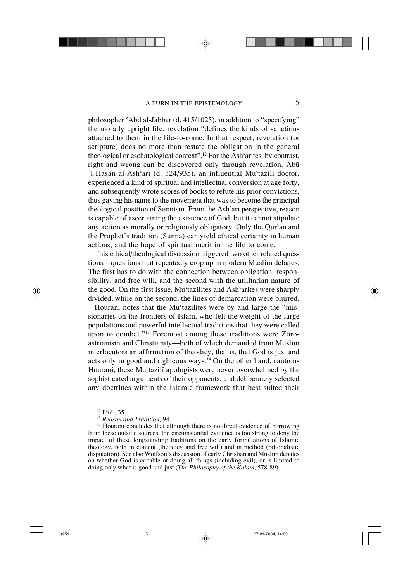philosopher 'Abd al-Jabbār (d. 415/1025), in addition to "specifying" the morally upright life, revelation "defines the kinds of sanctions attached to them in the life-to-come. In that respect, revelation (or scripture) does no more than restate the obligation in the general theological or eschatological context".<sup>12</sup> For the Ash $\lq$ arites, by contrast, right and wrong can be discovered only through revelation. Abu 'l-Hasan al-Ash'arī (d. 324/935), an influential Mu'tazilī doctor, experienced a kind of spiritual and intellectual conversion at age forty, and subsequently wrote scores of books to refute his prior convictions, thus gaving his name to the movement that was to become the principal theological position of Sunnism. From the Ash<sup>star</sup> perspective, reason is capable of ascertaining the existence of God, but it cannot stipulate any action as morally or religiously obligatory. Only the Qur'an and the Prophet's tradition (Sunna) can yield ethical certainty in human actions, and the hope of spiritual merit in the life to come.

This ethical/theological discussion triggered two other related questions—questions that repeatedly crop up in modern Muslim debates. The first has to do with the connection between obligation, responsibility, and free will, and the second with the utilitarian nature of the good. On the first issue, Mu<sup>c</sup>tazilites and Ash<sup>c</sup>arites were sharply divided, while on the second, the lines of demarcation were blurred.

Hourani notes that the Mu'tazilites were by and large the "missionaries on the frontiers of Islam, who felt the weight of the large populations and powerful intellectual traditions that they were called upon to combat."13 Foremost among these traditions were Zoroastrianism and Christianity—both of which demanded from Muslim interlocutors an affirmation of theodicy, that is, that God is just and acts only in good and righteous ways.14 On the other hand, cautions Hourani, these Mu'tazili apologists were never overwhelmed by the sophisticated arguments of their opponents, and deliberately selected any doctrines within the Islamic framework that best suited their

<sup>&</sup>lt;sup>12</sup> Ibid., 35.

<sup>13</sup> *Reason and Tradition,* 94.

<sup>&</sup>lt;sup>14</sup> Hourani concludes that although there is no direct evidence of borrowing from these outside sources, the circumstantial evidence is too strong to deny the impact of these longstanding traditions on the early formulations of Islamic theology, both in content (theodicy and free will) and in method (rationalistic disputation). See also Wolfson's discussion of early Christian and Muslim debates on whether God is capable of doing all things (including evil), or is limited to doing only what is good and just (*The Philosophy of the Kalam,* 578-89).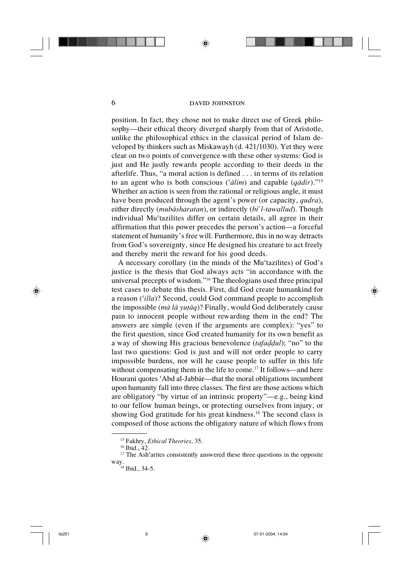position. In fact, they chose not to make direct use of Greek philosophy—their ethical theory diverged sharply from that of Aristotle, unlike the philosophical ethics in the classical period of Islam developed by thinkers such as Miskawayh (d. 421/1030). Yet they were clear on two points of convergence with these other systems: God is just and He justly rewards people according to their deeds in the afterlife. Thus, "a moral action is defined . . . in terms of its relation to an agent who is both conscious (*'alim*) and capable (*qadir*)."<sup>15</sup> Whether an action is seen from the rational or religious angle, it must have been produced through the agent's power (or capacity, *qudra*), either directly (*mubāsharatan*), or indirectly (*bi'l-tawallud*). Though individual Mu'tazilites differ on certain details, all agree in their affirmation that this power precedes the person's action—a forceful statement of humanity's free will. Furthermore, this in no way detracts from God's sovereignty, since He designed his creature to act freely and thereby merit the reward for his good deeds.

A necessary corollary (in the minds of the Mu'tazilites) of God's justice is the thesis that God always acts "in accordance with the universal precepts of wisdom."16 The theologians used three principal test cases to debate this thesis. First, did God create humankind for a reason (*'illa*)? Second, could God command people to accomplish the impossible (*mā lā yutāq*)? Finally, would God deliberately cause pain to innocent people without rewarding them in the end? The answers are simple (even if the arguments are complex): "yes" to the first question, since God created humanity for its own benefit as a way of showing His gracious benevolence (*tafaddul*); "no" to the last two questions: God is just and will not order people to carry impossible burdens, nor will he cause people to suffer in this life without compensating them in the life to come.<sup>17</sup> It follows—and here Hourani quotes 'Abd al-Jabbār—that the moral obligations incumbent upon humanity fall into three classes. The first are those actions which are obligatory "by virtue of an intrinsic property"—e.g., being kind to our fellow human beings, or protecting ourselves from injury, or showing God gratitude for his great kindness.18 The second class is composed of those actions the obligatory nature of which flows from

<sup>15</sup> Fakhry, *Ethical Theories,* 35.

<sup>16</sup> Ibid., 42.

 $17$  The Ash'arites consistently answered these three questions in the opposite way.

<sup>18</sup> Ibid., 34-5.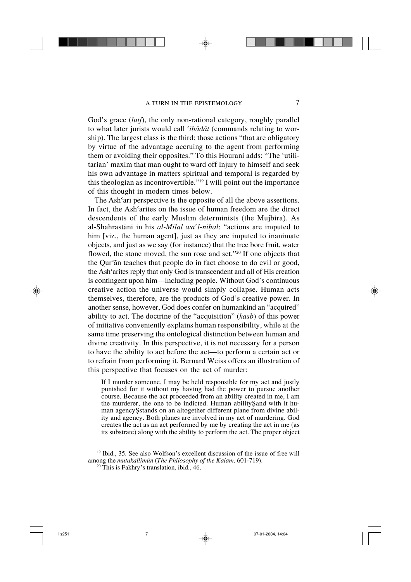God's grace *(lutf)*, the only non-rational category, roughly parallel to what later jurists would call 'ibadat (commands relating to worship). The largest class is the third: those actions "that are obligatory by virtue of the advantage accruing to the agent from performing them or avoiding their opposites." To this Hourani adds: "The 'utilitarian' maxim that man ought to ward off injury to himself and seek his own advantage in matters spiritual and temporal is regarded by this theologian as incontrovertible."19 I will point out the importance of this thought in modern times below.

The Ash'ari perspective is the opposite of all the above assertions. In fact, the Ash'arites on the issue of human freedom are the direct descendents of the early Muslim determinists (the Mujbira). As al-Shahrastānī in his *al-Milal wa'l-niḥal*: "actions are imputed to him [viz., the human agent], just as they are imputed to inanimate objects, and just as we say (for instance) that the tree bore fruit, water flowed, the stone moved, the sun rose and set."20 If one objects that the Qur'an teaches that people do in fact choose to do evil or good, the Ash'arites reply that only God is transcendent and all of His creation is contingent upon him—including people. Without God's continuous creative action the universe would simply collapse. Human acts themselves, therefore, are the products of God's creative power. In another sense, however, God does confer on humankind an "acquired" ability to act. The doctrine of the "acquisition" (*kasb*) of this power of initiative conveniently explains human responsibility, while at the same time preserving the ontological distinction between human and divine creativity. In this perspective, it is not necessary for a person to have the ability to act before the act—to perform a certain act or to refrain from performing it. Bernard Weiss offers an illustration of this perspective that focuses on the act of murder:

If I murder someone, I may be held responsible for my act and justly punished for it without my having had the power to pursue another course. Because the act proceeded from an ability created in me, I am the murderer, the one to be indicted. Human ability Sand with it human agency<sub>S</sub>stands on an altogether different plane from divine ability and agency. Both planes are involved in my act of murdering. God creates the act as an act performed by me by creating the act in me (as its substrate) along with the ability to perform the act. The proper object

<sup>&</sup>lt;sup>19</sup> Ibid., 35. See also Wolfson's excellent discussion of the issue of free will among the *mutakallim'n* (*The Philosophy of the Kalam,* 601-719).

 $20$  This is Fakhry's translation, ibid., 46.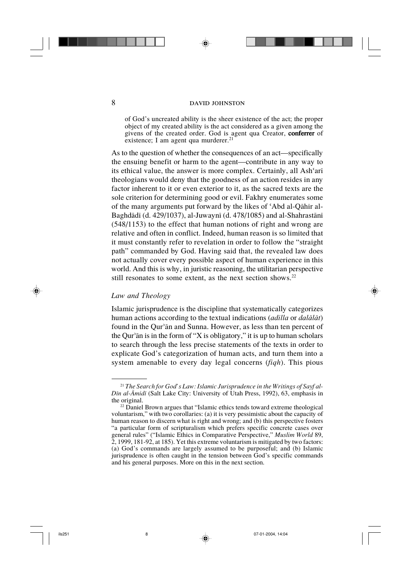# 8 david DAVID JOHNSTON

of God's uncreated ability is the sheer existence of the act; the proper object of my created ability is the act considered as a given among the givens of the created order. God is agent qua Creator, conferrer of existence; I am agent qua murderer.<sup>21</sup>

As to the question of whether the consequences of an act—specifically the ensuing benefit or harm to the agent—contribute in any way to its ethical value, the answer is more complex. Certainly, all Ash'arī theologians would deny that the goodness of an action resides in any factor inherent to it or even exterior to it, as the sacred texts are the sole criterion for determining good or evil. Fakhry enumerates some of the many arguments put forward by the likes of 'Abd al-Qāhir al-Baghdādī (d. 429/1037), al-Juwaynī (d. 478/1085) and al-Shahrastānī (548/1153) to the effect that human notions of right and wrong are relative and often in conflict. Indeed, human reason is so limited that it must constantly refer to revelation in order to follow the "straight path" commanded by God. Having said that, the revealed law does not actually cover every possible aspect of human experience in this world. And this is why, in juristic reasoning, the utilitarian perspective still resonates to some extent, as the next section shows.<sup>22</sup>

#### *Law and Theology*

Islamic jurisprudence is the discipline that systematically categorizes human actions according to the textual indications (*adilla* or *dalālāt*) found in the Qur'an and Sunna. However, as less than ten percent of the Qur'an is in the form of "X is obligatory," it is up to human scholars to search through the less precise statements of the texts in order to explicate God's categorization of human acts, and turn them into a system amenable to every day legal concerns (*fiqh*). This pious

<sup>&</sup>lt;sup>21</sup> The Search for God's Law: Islamic Jurisprudence in the Writings of Sayf al-*Din al-Āmidī* (Salt Lake City: University of Utah Press, 1992), 63, emphasis in the original.

 $^{22}$  Daniel Brown argues that "Islamic ethics tends toward extreme theological voluntarism," with two corollaries: (a) it is very pessimistic about the capacity of human reason to discern what is right and wrong; and (b) this perspective fosters "a particular form of scripturalism which prefers specific concrete cases over general rules" ("Islamic Ethics in Comparative Perspective," *Muslim World* 89, 2, 1999, 181-92, at 185). Yet this extreme voluntarism is mitigated by two factors: (a) God's commands are largely assumed to be purposeful; and (b) Islamic jurisprudence is often caught in the tension between God's specific commands and his general purposes. More on this in the next section.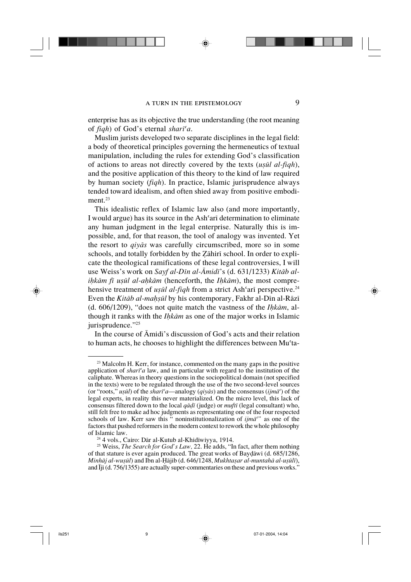enterprise has as its objective the true understanding (the root meaning of *fiqh*) of God's eternal *shart<sup>c</sup>a*.

Muslim jurists developed two separate disciplines in the legal field: a body of theoretical principles governing the hermeneutics of textual manipulation, including the rules for extending God's classification of actions to areas not directly covered by the texts (*usūl al-fiqh*), and the positive application of this theory to the kind of law required by human society (*fiqh*). In practice, Islamic jurisprudence always tended toward idealism, and often shied away from positive embodiment.<sup>23</sup>

This idealistic reflex of Islamic law also (and more importantly, I would argue) has its source in the Ash<sup>star</sup> determination to eliminate any human judgment in the legal enterprise. Naturally this is impossible, and, for that reason, the tool of analogy was invented. Yet the resort to *qiyās* was carefully circumscribed, more so in some schools, and totally forbidden by the Zahiri school. In order to explicate the theological ramifications of these legal controversies, I will use Weiss's work on *Sayf al-Dīn al-Āmidī*'s (d. 631/1233) *Kitāb alihkām fī uṣūl al-ahkām* (henceforth, the *Ihkām*), the most comprehensive treatment of *uşūl al-fiqh* from a strict Ash'arī perspective.<sup>24</sup> Even the *Kitāb al-maḥṣūl* by his contemporary, Fakhr al-Dīn al-Rāzī (d. 606/1209), "does not quite match the vastness of the *Ihkam*, although it ranks with the *Ihkām* as one of the major works in Islamic jurisprudence."25

In the course of  $\bar{A}$ mid $\bar{A}$ 's discussion of God's acts and their relation to human acts, he chooses to highlight the differences between Mu'ta-

<sup>&</sup>lt;sup>23</sup> Malcolm H. Kerr, for instance, commented on the many gaps in the positive application of *shart<sup>c</sup>a* law, and in particular with regard to the institution of the caliphate. Whereas in theory questions in the sociopolitical domain (not specified in the texts) were to be regulated through the use of the two second-level sources (or "roots," *usūl*) of the *sharī*<sup>c</sup>a—analogy (*qiyās*) and the consensus (*ijmā*<sup>c</sup>) of the legal experts, in reality this never materialized. On the micro level, this lack of consensus filtered down to the local *q* $\bar{a}d\bar{t}$  (judge) or *muft* $\bar{t}$  (legal consultant) who, still felt free to make ad hoc judgments as representating one of the four respected schools of law. Kerr saw this " noninstitutionalization of *ijmā*" as one of the factors that pushed reformers in the modern context to rework the whole philosophy of Islamic law.

<sup>&</sup>lt;sup>24</sup> 4 vols., Cairo: Dār al-Kutub al-Khidīwiyya, 1914.

<sup>25</sup> Weiss, *The Search for God's Law,* 22. He adds, "In fact, after them nothing of that stature is ever again produced. The great works of Baydawi (d. 685/1286, *Minhāj al-wuṣūl*) and Ibn al-Ḥājib (d. 646/1248, *Mukhtaṣar al-muntahā al-uṣūlī*), and  $\overline{I}$  ii (d. 756/1355) are actually super-commentaries on these and previous works."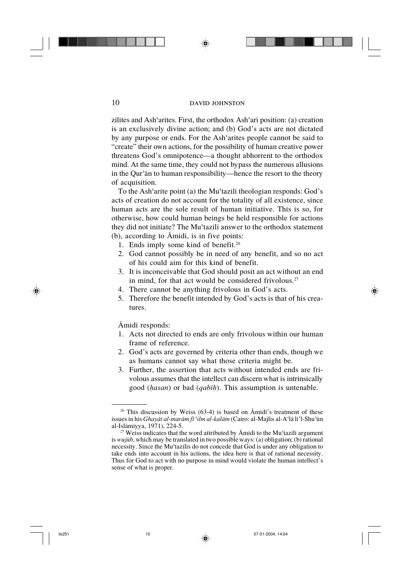zilites and Ash'arites. First, the orthodox Ash'arī position: (a) creation is an exclusively divine action; and (b) God's acts are not dictated by any purpose or ends. For the Ash'arites people cannot be said to "create" their own actions, for the possibility of human creative power threatens God's omnipotence—a thought abhorrent to the orthodox mind. At the same time, they could not bypass the numerous allusions in the Qur'an to human responsibility—hence the resort to the theory of acquisition.

To the Ash<sup>strite</sup> point (a) the Mu<sup>star</sup> theologian responds: God's acts of creation do not account for the totality of all existence, since human acts are the sole result of human initiative. This is so, for otherwise, how could human beings be held responsible for actions they did not initiate? The Mu'tazilī answer to the orthodox statement (b), according to  $\bar{A}$ mid $\bar{I}$ , is in five points:

- 1. Ends imply some kind of benefit.<sup>26</sup>
- 2. God cannot possibly be in need of any benefit, and so no act of his could aim for this kind of benefit.
- 3. It is inconceivable that God should posit an act without an end in mind, for that act would be considered frivolous.<sup>27</sup>
- 4. There cannot be anything frivolous in God's acts.
- 5. Therefore the benefit intended by God's acts is that of his creatures.

Āmidī responds:

- 1. Acts not directed to ends are only frivolous within our human frame of reference.
- 2. God's acts are governed by criteria other than ends, though we as humans cannot say what those criteria might be.
- 3. Further, the assertion that acts without intended ends are frivolous assumes that the intellect can discern what is intrinsically good (*hasan*) or bad (*qabīh*). This assumption is untenable.

<sup>&</sup>lt;sup>26</sup> This discussion by Weiss (63-4) is based on  $\bar{A}$ midi's treatment of these issues in his *Ghayāt al-marām fī 'ilm al-kalām* (Cairo: al-Majlis al-A'lā li'l-Shu'ūn al-Islāmiyya, 1971), 224-5.

<sup>&</sup>lt;sup>27</sup> Weiss indicates that the word attributed by  $\bar{A}$  mid $\bar{A}$  to the Mu'tazil $\bar{A}$  argument is *wuj'b*, which may be translated in two possible ways: (a) obligation; (b) rational necessity. Since the Mu'tazilis do not concede that God is under any obligation to take ends into account in his actions, the idea here is that of rational necessity. Thus for God to act with no purpose in mind would violate the human intellect's sense of what is proper.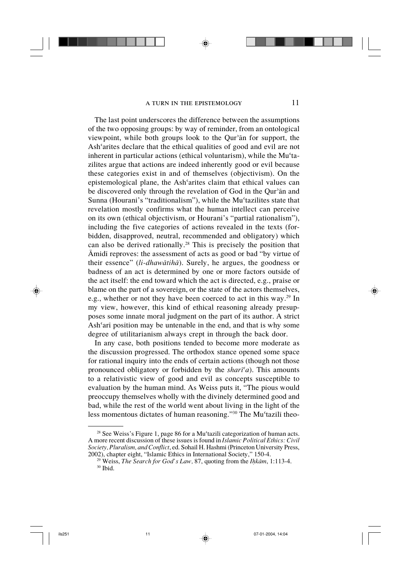The last point underscores the difference between the assumptions of the two opposing groups: by way of reminder, from an ontological viewpoint, while both groups look to the Qur'an for support, the Ash'arites declare that the ethical qualities of good and evil are not inherent in particular actions (ethical voluntarism), while the Mu'tazilites argue that actions are indeed inherently good or evil because these categories exist in and of themselves (objectivism). On the epistemological plane, the Ash'arites claim that ethical values can be discovered only through the revelation of God in the Qur'an and Sunna (Hourani's "traditionalism"), while the Mu'tazilites state that revelation mostly confirms what the human intellect can perceive on its own (ethical objectivism, or Hourani's "partial rationalism"), including the five categories of actions revealed in the texts (forbidden, disapproved, neutral, recommended and obligatory) which can also be derived rationally.28 This is precisely the position that  $\bar{A}$ midi reproves: the assessment of acts as good or bad "by virtue of their essence" (*li-dhawātihā*). Surely, he argues, the goodness or badness of an act is determined by one or more factors outside of the act itself: the end toward which the act is directed, e.g., praise or blame on the part of a sovereign, or the state of the actors themselves, e.g., whether or not they have been coerced to act in this way.<sup>29</sup> In my view, however, this kind of ethical reasoning already presupposes some innate moral judgment on the part of its author. A strict Ash'ari position may be untenable in the end, and that is why some degree of utilitarianism always crept in through the back door.

In any case, both positions tended to become more moderate as the discussion progressed. The orthodox stance opened some space for rational inquiry into the ends of certain actions (though not those pronounced obligatory or forbidden by the *shart<sup>c</sup>a*). This amounts to a relativistic view of good and evil as concepts susceptible to evaluation by the human mind. As Weiss puts it, "The pious would preoccupy themselves wholly with the divinely determined good and bad, while the rest of the world went about living in the light of the less momentous dictates of human reasoning."<sup>30</sup> The Mu'tazili theo-

 $28$  See Weiss's Figure 1, page 86 for a Mu'tazilī categorization of human acts. A more recent discussion of these issues is found in *Islamic Political Ethics: Civil Society, Pluralism, and Conflict*, ed. Sohail H. Hashmi (Princeton University Press, 2002), chapter eight, "Islamic Ethics in International Society," 150-4.

<sup>&</sup>lt;sup>29</sup> Weiss, *The Search for God's Law,* 87, quoting from the *Ihkām*, 1:113-4.  $30$  Ibid.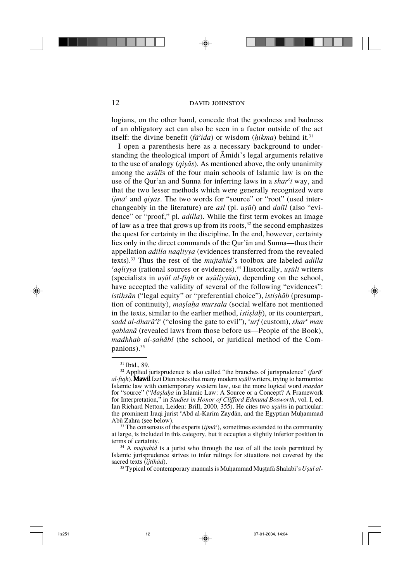logians, on the other hand, concede that the goodness and badness of an obligatory act can also be seen in a factor outside of the act itself: the divine benefit (*f* $\bar{a}$ <sup>2</sup>*ida*) or wisdom (*hikma*) behind it.<sup>31</sup>

I open a parenthesis here as a necessary background to understanding the theological import of  $\bar{A}$ mid $\bar{A}$ 's legal arguments relative to the use of analogy (*qiy®s*). As mentioned above, the only unanimity among the *usūl*is of the four main schools of Islamic law is on the use of the Qur'an and Sunna for inferring laws in a *shar'i* way, and that the two lesser methods which were generally recognized were *ijmā*<sup>c</sup> and *qiyās*. The two words for "source" or "root" (used interchangeably in the literature) are *a*sl (pl. *usūl*) and *dalīl* (also "evidence" or "proof," pl. *adilla*). While the first term evokes an image of law as a tree that grows up from its roots, $32$  the second emphasizes the quest for certainty in the discipline. In the end, however, certainty lies only in the direct commands of the Qur'an and Sunna—thus their appellation *adilla naqliyya* (evidences transferred from the revealed texts).33 Thus the rest of the *mujtahid*'s toolbox are labeled *adilla <sup>c</sup>aqliyya* (rational sources or evidences).<sup>34</sup> Historically, *uṣūlī* writers (specialists in *uşūl al-fiqh* or *uşūliyyūn*), depending on the school, have accepted the validity of several of the following "evidences": *istihsān* ("legal equity" or "preferential choice"), *istishāb* (presumption of continuity), *maslaha mursala* (social welfare not mentioned in the texts, similar to the earlier method, *istislah*), or its counterpart, *sadd al-dharā'i*<sup>*'*</sup> ("closing the gate to evil"), 'urf (custom), *shar' man qablanā* (revealed laws from those before us—People of the Book), *madhhab al-sahābī* (the school, or juridical method of the Companions).<sup>35</sup>

<sup>31</sup> Ibid., 89.

<sup>&</sup>lt;sup>32</sup> Applied jurisprudence is also called "the branches of jurisprudence" (*furū*<sup>c</sup> *al-fiqh*). **Mawil** Izzi Dien notes that many modern *ușuli* writers, trying to harmonize Islamic law with contemporary western law, use the more logical word *masdar* for "source" ("*Maşlaha* in Islamic Law: A Source or a Concept? A Framework for Interpretation," in *Studies in Honor of Clifford Edmund Bosworth*, vol. I, ed. Ian Richard Netton, Leiden: Brill, 2000, 355). He cites two *ușulis* in particular: the prominent Iraqi jurist 'Abd al-Karīm Zaydān, and the Egyptian Muhammad Abū Zahra (see below).

<sup>&</sup>lt;sup>33</sup> The consensus of the experts (*ijmā*<sup>c</sup>), sometimes extended to the community at large, is included in this category, but it occupies a slightly inferior position in terms of certainty.

<sup>&</sup>lt;sup>34</sup> A *mujtahid* is a jurist who through the use of all the tools permitted by Islamic jurisprudence strives to infer rulings for situations not covered by the sacred texts (ijtihād).

<sup>&</sup>lt;sup>35</sup> Typical of contemporary manuals is Muhammad Mustafā Shalabī's *Uṣūl al-*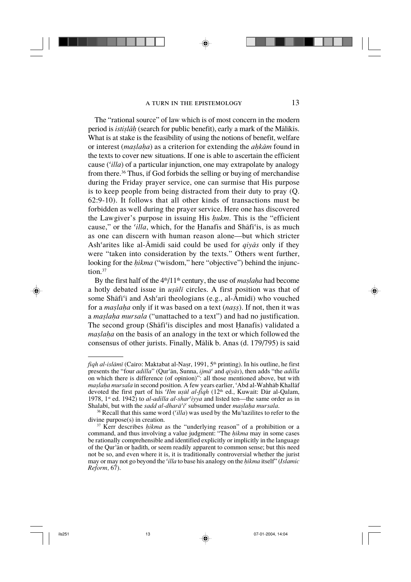The "rational source" of law which is of most concern in the modern period is *istislah* (search for public benefit), early a mark of the Malikis. What is at stake is the feasibility of using the notions of benefit, welfare or interest (*maslaha*) as a criterion for extending the *ahkām* found in the texts to cover new situations. If one is able to ascertain the efficient cause (*Æilla*) of a particular injunction, one may extrapolate by analogy from there.36 Thus, if God forbids the selling or buying of merchandise during the Friday prayer service, one can surmise that His purpose is to keep people from being distracted from their duty to pray (Q. 62:9-10). It follows that all other kinds of transactions must be forbidden as well during the prayer service. Here one has discovered the Lawgiver's purpose in issuing His *hukm*. This is the "efficient" cause," or the 'illa, which, for the Hanafis and Shafi'is, is as much as one can discern with human reason alone—but which stricter Ash'arites like al-Āmidī said could be used for *qiyās* only if they were "taken into consideration by the texts." Others went further, looking for the *hikma* ("wisdom," here "objective") behind the injunction.<sup>37</sup>

By the first half of the 4<sup>th</sup>/11<sup>th</sup> century, the use of *maslaha* had become a hotly debated issue in *usūlī* circles. A first position was that of some Shāfi'i and Ash'arī theologians (e.g., al- $\bar{A}$ midī) who vouched for a *maslaha* only if it was based on a text (*nass*). If not, then it was a *ma*slaha mursala ("unattached to a text") and had no justification. The second group (Shāfi'is disciples and most Hanafis) validated a *ma*slaha on the basis of an analogy in the text or which followed the consensus of other jurists. Finally, Mālik b. Anas (d. 179/795) is said

*fiqh al-islāmī* (Cairo: Maktabat al-Naṣr, 1991, 5<sup>th</sup> printing). In his outline, he first presents the "four *adilla*" (Qur'ān, Sunna, *ijmā*<sup>c</sup> and *qiyas*), then adds "the *adilla* on which there is difference (of opinion)": all those mentioned above, but with *ma*șlața mursala in second position. A few years earlier, 'Abd al-Wahhāb Khallāf devoted the first part of his *Ilm uṣūl al-fiqh* (12<sup>th</sup> ed., Kuwait: Dār al-Qalam, 1978,  $1<sup>st</sup>$  ed. 1942) to *al-adilla al-shar'iyya* and listed ten—the same order as in Shalabī, but with the *sadd al-dharā*'i<sup>c</sup> subsumed under *maṣlaha mursala*.

 $36$  Recall that this same word (*filla*) was used by the Mu<sup>2</sup> tazilites to refer to the divine purpose(s) in creation.

<sup>&</sup>lt;sup>37</sup> Kerr describes *hikma* as the "underlying reason" of a prohibition or a command, and thus involving a value judgment: "The *hikma* may in some cases be rationally comprehensible and identified explicitly or implicitly in the language of the Qur'ān or hadīth, or seem readily apparent to common sense; but this need not be so, and even where it is, it is traditionally controversial whether the jurist may or may not go beyond the *'illa* to base his analogy on the *hikma* itself" (*Islamic Reform,* 67).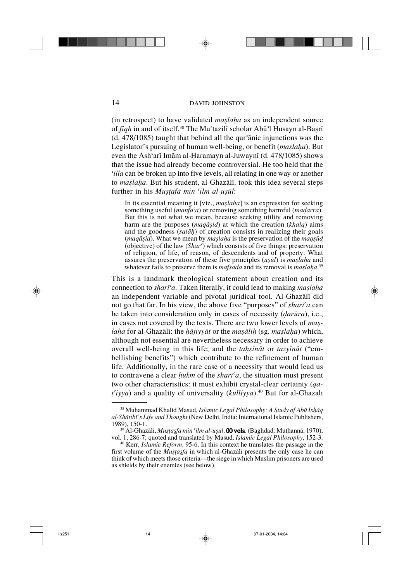(in retrospect) to have validated *maslaha* as an independent source of *fiqh* in and of itself.<sup>38</sup> The Mu'tazilī scholar Abū'l Husayn al-Baṣrī  $(d. 478/1085)$  taught that behind all the qur'anic injunctions was the Legislator's pursuing of human well-being, or benefit (*maslaha*). But even the Ash'arī Imām al-Haramayn al-Juwaynī (d. 478/1085) shows that the issue had already become controversial. He too held that the *filla* can be broken up into five levels, all relating in one way or another to *ma*slaha. But his student, al-Ghazālī, took this idea several steps further in his *Muṣṭafā min 'ilm al-uṣūl*:

In its essential meaning it [viz., *maslaha*] is an expression for seeking something useful (*manfa<sup>c</sup>a*) or removing something harmful (*madarra*). But this is not what we mean, because seeking utility and removing harm are the purposes (*magāsid*) at which the creation (*khalq*) aims and the goodness (*salah*) of creation consists in realizing their goals (*maqāṣid*). What we mean by *maṣlaḥa* is the preservation of the *maqṣūd* (objective) of the law (*Shar<sup>c</sup>*) which consists of five things: preservation of religion, of life, of reason, of descendents and of property. What assures the preservation of these five principles (*usūl*) is *maslaha* and whatever fails to preserve them is *mafsada* and its removal is *maṣlaḥa*.<sup>39</sup>

This is a landmark theological statement about creation and its connection to *shart<sup>c</sup>a*. Taken literally, it could lead to making *maslaha* an independent variable and pivotal juridical tool. Al-Ghazālī did not go that far. In his view, the above five "purposes" of *shart'a* can be taken into consideration only in cases of necessity (*darūra*), i.e., in cases not covered by the texts. There are two lower levels of *maslaha* for al-Ghazālī: the *hājiyyāt* or the *masālih* (sg. *maslaha*) which, although not essential are nevertheless necessary in order to achieve overall well-being in this life; and the *tahsinat* or *tazyinat* ("embellishing benefits") which contribute to the refinement of human life. Additionally, in the rare case of a necessity that would lead us to contravene a clear *hukm* of the *shart<sup>c</sup>a*, the situation must present two other characteristics: it must exhibit crystal-clear certainty (*qa* $f(iyya)$  and a quality of universality (*kulliyya*).<sup>40</sup> But for al-Ghazali

<sup>&</sup>lt;sup>38</sup> Muhammad Khalid Masud, *Islamic Legal Philosophy: A Study of Abū Ishāq al-Sh®tib¬'s Life and Thought* (New Delhi, India: International Islamic Publishers, 1989), 150-1.

<sup>&</sup>lt;sup>39</sup> Al-Ghazālī, *Muṣṭaṣfā min 'ilm al-uṣūl*, **00 vols**. (Baghdad: Muthannā, 1970), vol. 1, 286-7; quoted and translated by Masud*, Islamic Legal Philosophy*, 152-3.

<sup>40</sup> Kerr, *Islamic Reform,* 95-6. In this context he translates the passage in the first volume of the *Mustasfa* in which al-Ghazali presents the only case he can think of which meets those criteria—the siege in which Muslim prisoners are used as shields by their enemies (see below).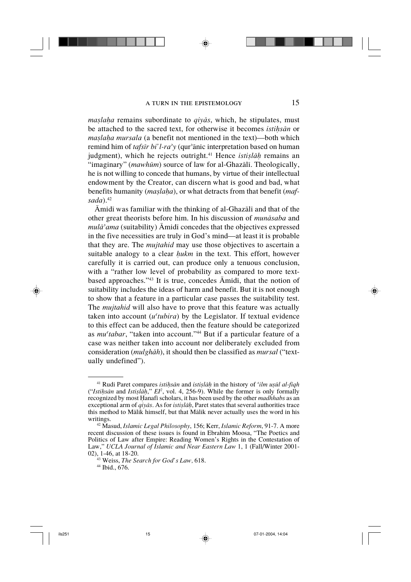*maslaha* remains subordinate to *givas*, which, he stipulates, must be attached to the sacred text, for otherwise it becomes *istihsan* or *maslaha mursala* (a benefit not mentioned in the text)—both which remind him of *tafsīr bi'l-ra'y* (qur'ānic interpretation based on human judgment), which he rejects outright.<sup>41</sup> Hence *istislah* remains an "imaginary" (*mawhūm*) source of law for al-Ghazālī. Theologically, he is not willing to concede that humans, by virtue of their intellectual endowment by the Creator, can discern what is good and bad, what benefits humanity (*maslaha*), or what detracts from that benefit (*mafsada*).42

 $\bar{A}$ midī was familiar with the thinking of al-Ghaz $\bar{a}$ lī and that of the other great theorists before him. In his discussion of *munāsaba* and  $mul\bar{a}^{\prime}$ *ama* (suitability)  $\bar{A}$ midi concedes that the objectives expressed in the five necessities are truly in God's mind—at least it is probable that they are. The *mujtahid* may use those objectives to ascertain a suitable analogy to a clear *hukm* in the text. This effort, however carefully it is carried out, can produce only a tenuous conclusion, with a "rather low level of probability as compared to more textbased approaches." $43$  It is true, concedes  $\bar{A}$ mid $\bar{A}$ , that the notion of suitability includes the ideas of harm and benefit. But it is not enough to show that a feature in a particular case passes the suitability test. The *mujtahid* will also have to prove that this feature was actually taken into account  $(u^{\epsilon}tubira)$  by the Legislator. If textual evidence to this effect can be adduced, then the feature should be categorized as *mu'tabar*, "taken into account."<sup>44</sup> But if a particular feature of a case was neither taken into account nor deliberately excluded from consideration (*mulghah*), it should then be classified as *mursal* ("textually undefined").

44 Ibid., 676.

<sup>&</sup>lt;sup>41</sup> Rudi Paret compares *istihsān* and *istislāh* in the history of *'ilm usūl al-fiqh* ("Istihsān and Istișlāh," EI<sup>2</sup>, vol. 4, 256-9). While the former is only formally recognized by most Hanafi scholars, it has been used by the other *madhhabs* as an exceptional arm of *qiyās*. As for *istislāh*, Paret states that several authorities trace this method to Mālik himself, but that Mālik never actually uses the word in his writings.

<sup>42</sup> Masud, *Islamic Legal Philosophy*, 156; Kerr, *Islamic Reform*, 91-7. A more recent discussion of these issues is found in Ebrahim Moosa, "The Poetics and Politics of Law after Empire: Reading Women's Rights in the Contestation of Law," *UCLA Journal of Islamic and Near Eastern Law* 1, 1 (Fall/Winter 2001- 02), 1-46, at 18-20.

<sup>43</sup> Weiss, *The Search for God's Law,* 618.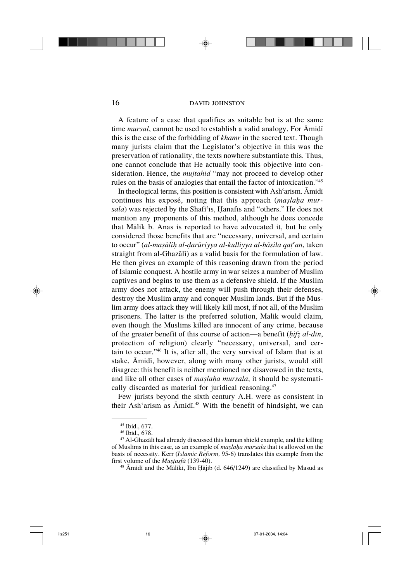A feature of a case that qualifies as suitable but is at the same time *mursal*, cannot be used to establish a valid analogy. For Amidi this is the case of the forbidding of *khamr* in the sacred text. Though many jurists claim that the Legislator's objective in this was the preservation of rationality, the texts nowhere substantiate this. Thus, one cannot conclude that He actually took this objective into consideration. Hence, the *mujtahid* "may not proceed to develop other rules on the basis of analogies that entail the factor of intoxication."45

In theological terms, this position is consistent with Ash'arism. Amidi continues his exposé, noting that this approach (*maslaha mursala*) was rejected by the Shafi<sup>c</sup>is, Hanafis and "others." He does not mention any proponents of this method, although he does concede that Mālik b. Anas is reported to have advocated it, but he only considered those benefits that are "necessary, universal, and certain to occur" (al-maṣāliḥ al-ḍarūriyya al-kulliyya al-ḥāsila qat'an, taken straight from al-Ghazālī) as a valid basis for the formulation of law. He then gives an example of this reasoning drawn from the period of Islamic conquest. A hostile army in war seizes a number of Muslim captives and begins to use them as a defensive shield. If the Muslim army does not attack, the enemy will push through their defenses, destroy the Muslim army and conquer Muslim lands. But if the Muslim army does attack they will likely kill most, if not all, of the Muslim prisoners. The latter is the preferred solution, Mālik would claim, even though the Muslims killed are innocent of any crime, because of the greater benefit of this course of action—a benefit (*hifz al-dīn*, protection of religion) clearly "necessary, universal, and certain to occur."46 It is, after all, the very survival of Islam that is at stake. Amidi, however, along with many other jurists, would still disagree: this benefit is neither mentioned nor disavowed in the texts, and like all other cases of *ma*slaha mursala, it should be systematically discarded as material for juridical reasoning.47

Few jurists beyond the sixth century A.H. were as consistent in their Ash'arism as Āmidī.<sup>48</sup> With the benefit of hindsight, we can

<sup>45</sup> Ibid., 677.

<sup>46</sup> Ibid., 678.

 $47$  Al-Ghazālī had already discussed this human shield example, and the killing of Muslims in this case, as an example of *maṣlaḥa mursala* that is allowed on the basis of necessity. Kerr (*Islamic Reform,* 95-6) translates this example from the first volume of the *Mustasfa* (139-40).

 $48$  Amidi and the Maliki, Ibn Hajib (d. 646/1249) are classified by Masud as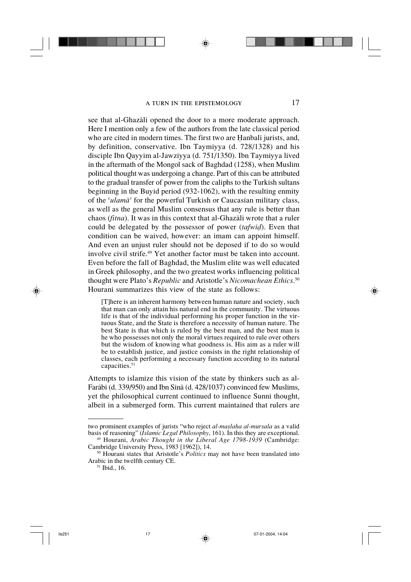see that al-Ghazali opened the door to a more moderate approach. Here I mention only a few of the authors from the late classical period who are cited in modern times. The first two are Hanbali jurists, and, by definition, conservative. Ibn Taymiyya (d. 728/1328) and his disciple Ibn Qayyim al-Jawziyya (d. 751/1350). Ibn Taymiyya lived in the aftermath of the Mongol sack of Baghdad (1258), when Muslim political thought was undergoing a change. Part of this can be attributed to the gradual transfer of power from the caliphs to the Turkish sultans beginning in the Buyid period (932-1062), with the resulting enmity of the 'ulama' for the powerful Turkish or Caucasian military class, as well as the general Muslim consensus that any rule is better than chaos (*fitna*). It was in this context that al-Ghazali wrote that a ruler could be delegated by the possessor of power (tafwid). Even that condition can be waived, however: an imam can appoint himself. And even an unjust ruler should not be deposed if to do so would involve civil strife.<sup>49</sup> Yet another factor must be taken into account. Even before the fall of Baghdad, the Muslim elite was well educated in Greek philosophy, and the two greatest works influencing political thought were Plato's *Republic* and Aristotle's *Nicomachean Ethics*. 50 Hourani summarizes this view of the state as follows:

[T]here is an inherent harmony between human nature and society, such that man can only attain his natural end in the community. The virtuous life is that of the individual performing his proper function in the virtuous State, and the State is therefore a necessity of human nature. The best State is that which is ruled by the best man, and the best man is he who possesses not only the moral virtues required to rule over others but the wisdom of knowing what goodness is. His aim as a ruler will be to establish justice, and justice consists in the right relationship of classes, each performing a necessary function according to its natural capacities.<sup>51</sup>

Attempts to islamize this vision of the state by thinkers such as al-Farābī (d. 339/950) and Ibn Sīnā (d. 428/1037) convinced few Muslims, yet the philosophical current continued to influence Sunni thought, albeit in a submerged form. This current maintained that rulers are

two prominent examples of jurists "who reject *al-ma*slaha al-mursala as a valid basis of reasoning" (*Islamic Legal Philosophy*, 161). In this they are exceptional. 49 Hourani, *Arabic Thought in the Liberal Age 1798-1939* (Cambridge:

Cambridge University Press, 1983 [1962]), 14. 50 Hourani states that Aristotle's *Politics* may not have been translated into Arabic in the twelfth century CE.

<sup>51</sup> Ibid., 16.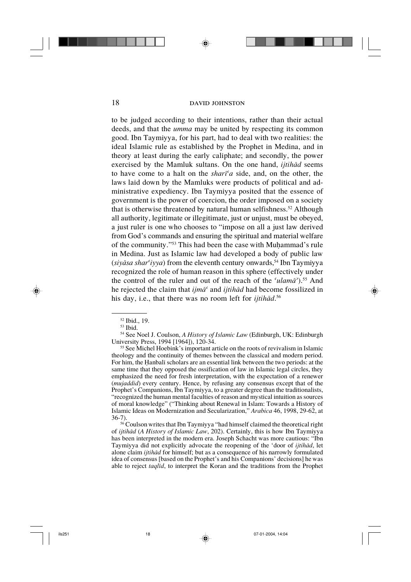to be judged according to their intentions, rather than their actual deeds, and that the *umma* may be united by respecting its common good. Ibn Taymiyya, for his part, had to deal with two realities: the ideal Islamic rule as established by the Prophet in Medina, and in theory at least during the early caliphate; and secondly, the power exercised by the Mamluk sultans. On the one hand, *ijtihad* seems to have come to a halt on the *shart<sup>c</sup>a* side, and, on the other, the laws laid down by the Mamluks were products of political and administrative expediency. Ibn Taymiyya posited that the essence of government is the power of coercion, the order imposed on a society that is otherwise threatened by natural human selfishness.<sup>52</sup> Although all authority, legitimate or illegitimate, just or unjust, must be obeyed, a just ruler is one who chooses to "impose on all a just law derived from God's commands and ensuring the spiritual and material welfare of the community."<sup>53</sup> This had been the case with Muhammad's rule in Medina. Just as Islamic law had developed a body of public law  $(siy\bar{a}sa shar'iyya)$  from the eleventh century onwards,<sup>54</sup> Ibn Taymiyya recognized the role of human reason in this sphere (effectively under the control of the ruler and out of the reach of the 'ulama<sup>2</sup>).<sup>55</sup> And he rejected the claim that *ijmā*<sup>c</sup> and *ijtihād* had become fossilized in his day, i.e., that there was no room left for *ijtihad*.<sup>56</sup>

54 See Noel J. Coulson, *A History of Islamic Law* (Edinburgh, UK: Edinburgh University Press, 1994 [1964]), 120-34.

55 See Michel Hoebink's important article on the roots of revivalism in Islamic theology and the continuity of themes between the classical and modern period. For him, the Hanbalī scholars are an essential link between the two periods: at the same time that they opposed the ossification of law in Islamic legal circles, they emphasized the need for fresh interpretation, with the expectation of a renewer (*mujaddid*) every century. Hence, by refusing any consensus except that of the Prophet's Companions, Ibn Taymiyya, to a greater degree than the traditionalists, "recognized the human mental faculties of reason and mystical intuition as sources of moral knowledge" ("Thinking about Renewal in Islam: Towards a History of Islamic Ideas on Modernization and Secularization," *Arabica* 46, 1998, 29-62, at 36-7).

56 Coulson writes that Ibn Taymiyya "had himself claimed the theoretical right of *ijtih®d* (*A History of Islamic Law*, 202). Certainly, this is how Ibn Taymiyya has been interpreted in the modern era. Joseph Schacht was more cautious: "Ibn Taymiyya did not explicitly advocate the reopening of the 'door of *ijtihad*, let alone claim *ijtihad* for himself; but as a consequence of his narrowly formulated idea of consensus [based on the Prophet's and his Companions' decisions] he was able to reject *taqlid*, to interpret the Koran and the traditions from the Prophet

<sup>52</sup> Ibid., 19.

<sup>53</sup> Ibid.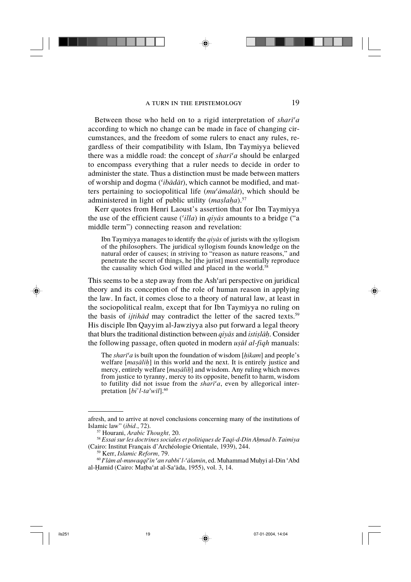Between those who held on to a rigid interpretation of *shart<sup>c</sup>a* according to which no change can be made in face of changing circumstances, and the freedom of some rulers to enact any rules, regardless of their compatibility with Islam, Ibn Taymiyya believed there was a middle road: the concept of *shart<sup>c</sup>a* should be enlarged to encompass everything that a ruler needs to decide in order to administer the state. Thus a distinction must be made between matters of worship and dogma (*<i>Hibadat*), which cannot be modified, and matters pertaining to sociopolitical life (*mu<sup>c</sup>amalat*), which should be administered in light of public utility (*maslaha*).<sup>57</sup>

Kerr quotes from Henri Laoust's assertion that for Ibn Taymiyya the use of the efficient cause (*'illa*) in *qiyās* amounts to a bridge ("a middle term") connecting reason and revelation:

Ibn Taymiyya manages to identify the *qiyas* of jurists with the syllogism of the philosophers. The juridical syllogism founds knowledge on the natural order of causes; in striving to "reason as nature reasons," and penetrate the secret of things, he [the jurist] must essentially reproduce the causality which God willed and placed in the world.<sup>51</sup>

This seems to be a step away from the Ash<sup>star</sup> perspective on juridical theory and its conception of the role of human reason in applying the law. In fact, it comes close to a theory of natural law, at least in the sociopolitical realm, except that for Ibn Taymiyya no ruling on the basis of *ijtihad* may contradict the letter of the sacred texts.<sup>59</sup> His disciple Ibn Qayyim al-Jawziyya also put forward a legal theory that blurs the traditional distinction between *qiyas* and *istislah*. Consider the following passage, often quoted in modern *u*sul al-figh manuals:

The *sharī<sup>c</sup>a* is built upon the foundation of wisdom [*hikam*] and people's welfare [*ma*şālih] in this world and the next. It is entirely justice and mercy, entirely welfare [*maṣālih*] and wisdom. Any ruling which moves from justice to tyranny, mercy to its opposite, benefit to harm, wisdom to futility did not issue from the *shart<sup>c</sup>a*, even by allegorical interpretation [bi'l-ta'wīl].<sup>60</sup>

afresh, and to arrive at novel conclusions concerning many of the institutions of Islamic law" (*ibid.*, 72).

<sup>57</sup> Hourani, *Arabic Thought,* 20.

<sup>58</sup> *Essai sur les doctrines sociales et politiques de Taqī-d-Dīn Ahmad b. Taimiya* (Cairo: Institut Français d'Archéologie Orientale, 1939), 244.

<sup>59</sup> Kerr, *Islamic Reform,* 79.

<sup>&</sup>lt;sup>60</sup> I'lām al-muwaqqi<sup>c</sup>īn 'an rabbi'l-'ālamīn, ed. Muhammad Muḥyī al-Dīn 'Abd al-Hamīd (Cairo: Matba'at al-Sa'āda, 1955), vol. 3, 14.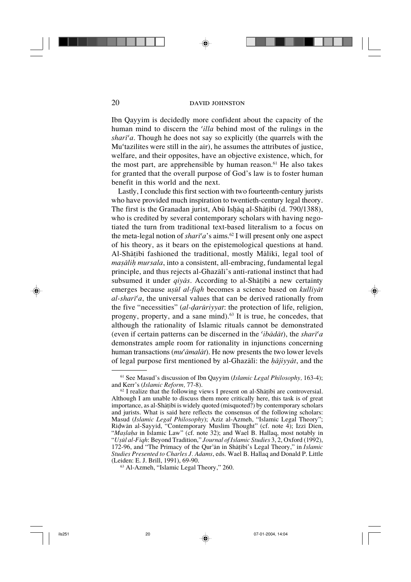Ibn Qayyim is decidedly more confident about the capacity of the human mind to discern the *'illa* behind most of the rulings in the *shart<sup>c</sup>a*. Though he does not say so explicitly (the quarrels with the Mu'tazilites were still in the air), he assumes the attributes of justice, welfare, and their opposites, have an objective existence, which, for the most part, are apprehensible by human reason.<sup>61</sup> He also takes for granted that the overall purpose of God's law is to foster human benefit in this world and the next.

Lastly, I conclude this first section with two fourteenth-century jurists who have provided much inspiration to twentieth-century legal theory. The first is the Granadan jurist, Abū Isḥāq al-Shāṭibī (d. 790/1388), who is credited by several contemporary scholars with having negotiated the turn from traditional text-based literalism to a focus on the meta-legal notion of *shari<sup>c</sup>a*'s aims.<sup>62</sup> I will present only one aspect of his theory, as it bears on the epistemological questions at hand. Al-Shātibī fashioned the traditional, mostly Mālikī, legal tool of *masālih mursala*, into a consistent, all-embracing, fundamental legal principle, and thus rejects al-Ghazālī's anti-rational instinct that had subsumed it under *qiyās*. According to al-Shātibī a new certainty emerges because *ușul al-fiqh* becomes a science based on *kulliyat al-shart<sup>c</sup>a*, the universal values that can be derived rationally from the five "necessities" (*al-darūriyyat*: the protection of life, religion, progeny, property, and a sane mind).63 It is true, he concedes, that although the rationality of Islamic rituals cannot be demonstrated (even if certain patterns can be discerned in the *'ibādāt*), the *sharī'a* demonstrates ample room for rationality in injunctions concerning human transactions (*mu<sup>c</sup>amalat*). He now presents the two lower levels of legal purpose first mentioned by al-Ghazali: the *hajiyyat*, and the

<sup>61</sup> See Masud's discussion of Ibn Qayyim (*Islamic Legal Philosophy,* 163-4); and Kerr's (*Islamic Reform,* 77-8).

 $62$  I realize that the following views I present on al-Sh $\overline{a}$ tibi are controversial. Although I am unable to discuss them more critically here, this task is of great importance, as al-Shātibī is widely quoted (misquoted?) by contemporary scholars and jurists. What is said here reflects the consensus of the following scholars: Masud (*Islamic Legal Philosophy*); Aziz al-Azmeh, "Islamic Legal Theory"; Riḍwān al-Sayyid, "Contemporary Muslim Thought" (cf. note 4); Izzi Dien, "Maslaha in Islamic Law" (cf. note 32); and Wael B. Hallaq, most notably in "*U◊'l al-Fiqh*: Beyond Tradition," *Journal of Islamic Studies* 3, 2, Oxford (1992), 172-96, and "The Primacy of the Qur'an in Shatibi's Legal Theory," in *Islamic Studies Presented to Charles J. Adams*, eds. Wael B. Hallaq and Donald P. Little (Leiden: E. J. Brill, 1991), 69-90.

<sup>63</sup> Al-Azmeh, "Islamic Legal Theory," 260.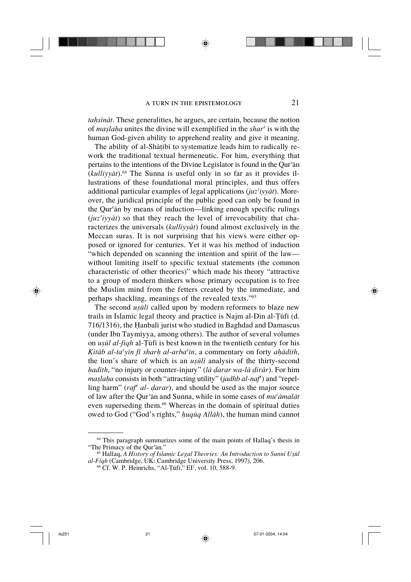*tahsīnāt*. These generalities, he argues, are certain, because the notion of *maslaha* unites the divine will exemplified in the *shar'* is with the human God-given ability to apprehend reality and give it meaning.

The ability of al-Shāṭibī to systematize leads him to radically rework the traditional textual hermeneutic. For him, everything that pertains to the intentions of the Divine Legislator is found in the Qur'an (*kulliyyāt*).<sup>64</sup> The Sunna is useful only in so far as it provides illustrations of these foundational moral principles, and thus offers additional particular examples of legal applications (*juz'iyyat*). Moreover, the juridical principle of the public good can only be found in the Qur'ān by means of induction—linking enough specific rulings (*juz'iyyat*) so that they reach the level of irrevocability that characterizes the universals (*kulliyyat*) found almost exclusively in the Meccan suras. It is not surprising that his views were either opposed or ignored for centuries. Yet it was his method of induction "which depended on scanning the intention and spirit of the law without limiting itself to specific textual statements (the common characteristic of other theories)" which made his theory "attractive to a group of modern thinkers whose primary occupation is to free the Muslim mind from the fetters created by the immediate, and perhaps shackling, meanings of the revealed texts."65

The second *usūlī* called upon by modern reformers to blaze new trails in Islamic legal theory and practice is Najm al-Din al-Tufi (d.  $716/1316$ ), the Hanbali jurist who studied in Baghdad and Damascus (under Ibn Taymiyya, among others). The author of several volumes on *uşūl al-fiqh* al-Țūfī is best known in the twentieth century for his *Kitāb al-ta<sup>c</sup>yīn fī sharh al-arba<sup>c</sup>īn*, a commentary on forty *ahādīth*, the lion's share of which is an *uşūlī* analysis of the thirty-second *hadīth*, "no injury or counter-injury" (*lā darar wa-lā dirār*). For him *maslaha* consists in both "attracting utility" (*jadhb al-naf*") and "repelling harm" (*raf<sup>c</sup> al- darar*), and should be used as the major source of law after the Qur'an and Sunna, while in some cases of  $mu'$ *amalat* even superseding them.<sup>66</sup> Whereas in the domain of spiritual duties owed to God ("God's rights," *huqūq Allāh*), the human mind cannot

<sup>&</sup>lt;sup>64</sup> This paragraph summarizes some of the main points of Hallaq's thesis in "The Primacy of the Qur'ān."

<sup>&</sup>lt;sup>65</sup> Hallaq, *A History of Islamic Legal Theories: An Introduction to Sunni Usul al-Fiqh* (Cambridge, UK: Cambridge University Press, 1997), 206.

 $66$  Cf. W. P. Heinrichs, "Al-Țūfi," EI<sup>2</sup>, vol. 10, 588-9.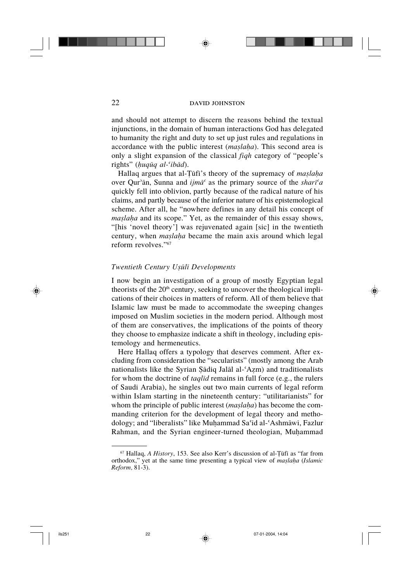and should not attempt to discern the reasons behind the textual injunctions, in the domain of human interactions God has delegated to humanity the right and duty to set up just rules and regulations in accordance with the public interest (*maslaha*). This second area is only a slight expansion of the classical *fiqh* category of "people's rights" (huqūq al-'ibād).

Hallaq argues that al-Tūfi's theory of the supremacy of *maslaha* over Qur<sup>3</sup>an, Sunna and *ijma<sup>c</sup>* as the primary source of the *shart<sup>c</sup>a* quickly fell into oblivion, partly because of the radical nature of his claims, and partly because of the inferior nature of his epistemological scheme. After all, he "nowhere defines in any detail his concept of *maşlaha* and its scope." Yet, as the remainder of this essay shows, "[his 'novel theory'] was rejuvenated again [sic] in the twentieth century, when *maslaha* became the main axis around which legal reform revolves."67

#### *Twentieth Century U◊'l¬ Developments*

I now begin an investigation of a group of mostly Egyptian legal theorists of the  $20<sup>th</sup>$  century, seeking to uncover the theological implications of their choices in matters of reform. All of them believe that Islamic law must be made to accommodate the sweeping changes imposed on Muslim societies in the modern period. Although most of them are conservatives, the implications of the points of theory they choose to emphasize indicate a shift in theology, including epistemology and hermeneutics.

Here Hallaq offers a typology that deserves comment. After excluding from consideration the "secularists" (mostly among the Arab nationalists like the Syrian Sādiq Jalāl al-'Azm) and traditionalists for whom the doctrine of *taqlid* remains in full force (e.g., the rulers of Saudi Arabia), he singles out two main currents of legal reform within Islam starting in the nineteenth century: "utilitarianists" for whom the principle of public interest (*maslaha*) has become the commanding criterion for the development of legal theory and methodology; and "liberalists" like Muḥammad Sa'īd al-'Ashmāwī, Fazlur Rahman, and the Syrian engineer-turned theologian, Muhammad

<sup>&</sup>lt;sup>67</sup> Hallaq, *A History*, 153. See also Kerr's discussion of al-Tūfi as "far from orthodox," yet at the same time presenting a typical view of *maslaha* (*Islamic Reform,* 81-3).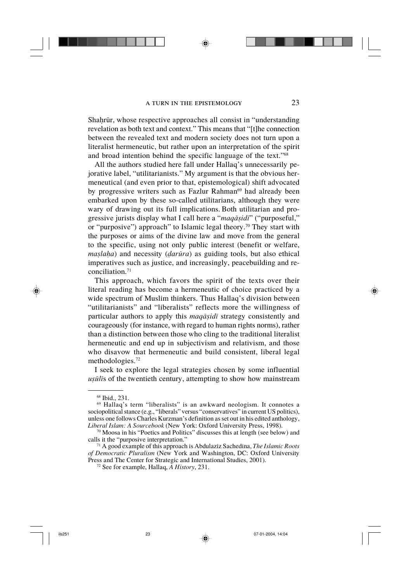Shahrūr, whose respective approaches all consist in "understanding" revelation as both text and context." This means that "[t]he connection between the revealed text and modern society does not turn upon a literalist hermeneutic, but rather upon an interpretation of the spirit and broad intention behind the specific language of the text."68

All the authors studied here fall under Hallaq's unnecessarily pejorative label, "utilitarianists." My argument is that the obvious hermeneutical (and even prior to that, epistemological) shift advocated by progressive writers such as Fazlur Rahman<sup>69</sup> had already been embarked upon by these so-called utilitarians, although they were wary of drawing out its full implications. Both utilitarian and progressive jurists display what I call here a "*maqāṣidī*" ("purposeful," or "purposive") approach" to Islamic legal theory.70 They start with the purposes or aims of the divine law and move from the general to the specific, using not only public interest (benefit or welfare, *maslaha*) and necessity (*darūra*) as guiding tools, but also ethical imperatives such as justice, and increasingly, peacebuilding and reconciliation.71

This approach, which favors the spirit of the texts over their literal reading has become a hermeneutic of choice practiced by a wide spectrum of Muslim thinkers. Thus Hallaq's division between "utilitarianists" and "liberalists" reflects more the willingness of particular authors to apply this *maqāsidī* strategy consistently and courageously (for instance, with regard to human rights norms), rather than a distinction between those who cling to the traditional literalist hermeneutic and end up in subjectivism and relativism, and those who disavow that hermeneutic and build consistent, liberal legal methodologies.72

I seek to explore the legal strategies chosen by some influential *usūl* is of the twentieth century, attempting to show how mainstream

<sup>68</sup> Ibid., 231.

<sup>69</sup> Hallaq's term "liberalists" is an awkward neologism. It connotes a sociopolitical stance (e.g., "liberals" versus "conservatives" in current US politics), unless one follows Charles Kurzman's definition as set out in his edited anthology, *Liberal Islam: A Sourcebook* (New York: Oxford University Press, 1998).

<sup>70</sup> Moosa in his "Poetics and Politics" discusses this at length (see below) and calls it the "purposive interpretation."

<sup>71</sup> A good example of this approach is Abdulaziz Sachedina, *The Islamic Roots of Democratic Pluralism* (New York and Washington, DC: Oxford University Press and The Center for Strategic and International Studies, 2001).

<sup>72</sup> See for example, Hallaq, *A History*, 231.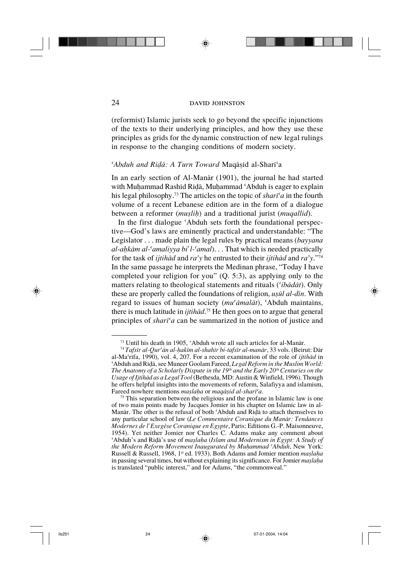(reformist) Islamic jurists seek to go beyond the specific injunctions of the texts to their underlying principles, and how they use these principles as grids for the dynamic construction of new legal rulings in response to the changing conditions of modern society.

#### *Kabduh and Ridā: A Turn Toward Magāsid al-Sharī'a*

In an early section of Al-Manar (1901), the journal he had started with Muhammad Rashīd Ridā, Muhammad 'Abduh is eager to explain his legal philosophy.<sup>73</sup> The articles on the topic of *shari*<sup> $\alpha$ </sup> in the fourth volume of a recent Lebanese edition are in the form of a dialogue between a reformer (*muslih*) and a traditional jurist (*muqallid*).

In the first dialogue 'Abduh sets forth the foundational perspective—God's laws are eminently practical and understandable: "The Legislator . . . made plain the legal rules by practical means (*bayyana al-ahkām al-'amaliyya bi'l-'amal*). . . That which is needed practically for the task of *ijtih* $\bar{a}d$  and  $ra^2y$  he entrusted to their *ijtih* $\bar{a}d$  and  $ra^2y$ ."<sup>74</sup> In the same passage he interprets the Medinan phrase, "Today I have completed your religion for you" (Q. 5:3), as applying only to the matters relating to theological statements and rituals (*'ibādāt*). Only these are properly called the foundations of religion, *usūl al-dīn*. With regard to issues of human society ( $mu<sup>c</sup>āmalāt$ ), 'Abduh maintains, there is much latitude in *ijtihād*.<sup>75</sup> He then goes on to argue that general principles of *sharī'a* can be summarized in the notion of justice and

<sup>73</sup> Until his death in 1905, 'Abduh wrote all such articles for al-Manār.

<sup>&</sup>lt;sup>74</sup> Tafsīr al-Qur'ān al-ḥakīm al-shahīr bi-tafsīr al-manār, 33 vols. (Beirut: Dār al-Ma<sup>c</sup>rifa, 1990), vol. 4, 207. For a recent examination of the role of *ijtihad* in 'Abduh and Ridā, see Muneer Goolam Fareed, *Legal Reform in the Muslim World: The Anatomy of a Scholarly Dispute in the 19<sup>th</sup> and the Early 20<sup>th</sup> Centuries on the Usage of Ijtih®d as a Legal Tool* (Bethesda, MD: Austin & Winfield, 1996). Though he offers helpful insights into the movements of reform, Salafiyya and islamism, Fareed nowhere mentions *maslaha* or *maqāsid al-sharī<sup>c</sup>a*.

<sup>&</sup>lt;sup>75</sup> This separation between the religious and the profane in Islamic law is one of two main points made by Jacques Jomier in his chapter on Islamic law in al-Manār. The other is the refusal of both 'Abduh and Rida to attach themselves to any particular school of law (*Le Commentaire Coranique du Manār: Tendances Modernes de l'Exegèse Coranique en Egypte*, Paris: Editions G.-P. Maisonneuve, 1954). Yet neither Jomier nor Charles C. Adams make any comment about <sup>'</sup>Abduh's and Riḍā's use of *maṣlaḥa* (*Islam and Modernism in Egypt: A Study of the Modern Reform Movement Inaugurated by Muhammad 'Abduh*, New York: Russell & Russell, 1968, 1<sup>st</sup> ed. 1933). Both Adams and Jomier mention *maslaha* in passing several times, but without explaining its significance. For Jomier *maslaha* is translated "public interest," and for Adams, "the commonweal."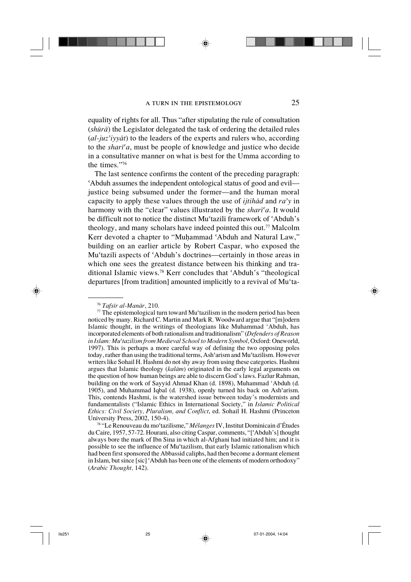equality of rights for all. Thus "after stipulating the rule of consultation (*shūrā*) the Legislator delegated the task of ordering the detailed rules (*al-juz'iyyāt*) to the leaders of the experts and rulers who, according to the *shart<sup>c</sup>a*, must be people of knowledge and justice who decide in a consultative manner on what is best for the Umma according to the times."76

The last sentence confirms the content of the preceding paragraph: ÆAbduh assumes the independent ontological status of good and evil justice being subsumed under the former—and the human moral capacity to apply these values through the use of *ijtihad* and  $ra^2y$  in harmony with the "clear" values illustrated by the *shart<sup>c</sup>a*. It would be difficult not to notice the distinct Mu'tazilī framework of 'Abduh's theology, and many scholars have indeed pointed this out.77 Malcolm Kerr devoted a chapter to "Muḥammad 'Abduh and Natural Law," building on an earlier article by Robert Caspar, who exposed the Mu'tazilī aspects of 'Abduh's doctrines—certainly in those areas in which one sees the greatest distance between his thinking and traditional Islamic views.<sup>78</sup> Kerr concludes that 'Abduh's "theological departures [from tradition] amounted implicitly to a revival of Mu'ta-

<sup>&</sup>lt;sup>76</sup> Tafsīr al-Manār, 210.

 $77$  The epistemological turn toward Mu'tazilism in the modern period has been noticed by many. Richard C. Martin and Mark R. Woodward argue that "[m]odern Islamic thought, in the writings of theologians like Muhammad 'Abduh, has incorporated elements of both rationalism and traditionalism" (*Defenders of Reason* in Islam: Mu'tazilism from Medieval School to Modern Symbol, Oxford: Oneworld, 1997). This is perhaps a more careful way of defining the two opposing poles today, rather than using the traditional terms, Ash'arism and Mu'tazilism. However writers like Sohail H. Hashmi do not shy away from using these categories. Hashmi argues that Islamic theology (*kalām*) originated in the early legal arguments on the question of how human beings are able to discern God's laws. Fazlur Rahman, building on the work of Sayyid Ahmad Khan (d. 1898), Muhammad 'Abduh (d. 1905), and Muhammad Iqbal (d. 1938), openly turned his back on Ash'arism. This, contends Hashmi, is the watershed issue between today's modernists and fundamentalists ("Islamic Ethics in International Society," in *Islamic Political Ethics: Civil Society, Pluralism, and Conflict*, ed. Sohail H. Hashmi (Princeton University Press, 2002, 150-4).

<sup>&</sup>lt;sup>78</sup> "Le Renouveau du mo<sup>c</sup>tazilisme," *Mélanges* IV, Institut Dominicain d'Études du Caire, 1957, 57-72. Hourani, also citing Caspar, comments, "['Abduh's] thought always bore the mark of Ibn Sina in which al-Afghani had initiated him; and it is possible to see the influence of Mu'tazilism, that early Islamic rationalism which had been first sponsored the Abbassid caliphs, had then become a dormant element in Islam, but since [sic] Abduh has been one of the elements of modern orthodoxy" (*Arabic Thought,* 142).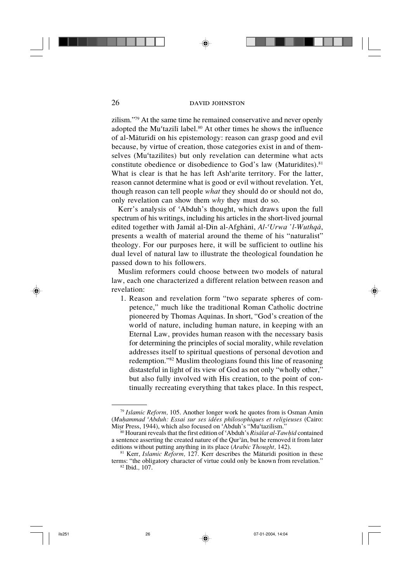zilism."79 At the same time he remained conservative and never openly adopted the Mu'tazilī label.<sup>80</sup> At other times he shows the influence of al-Māturīdī on his epistemology: reason can grasp good and evil because, by virtue of creation, those categories exist in and of themselves (Mu'tazilites) but only revelation can determine what acts constitute obedience or disobedience to God's law (Maturidites).<sup>81</sup> What is clear is that he has left Ash'arite territory. For the latter, reason cannot determine what is good or evil without revelation. Yet, though reason can tell people *what* they should do or should not do, only revelation can show them *why* they must do so.

Kerr's analysis of 'Abduh's thought, which draws upon the full spectrum of his writings, including his articles in the short-lived journal edited together with Jamāl al-Dīn al-Afghānī, *Al-'Urwa 'l-Wuthqā*, presents a wealth of material around the theme of his "naturalist" theology. For our purposes here, it will be sufficient to outline his dual level of natural law to illustrate the theological foundation he passed down to his followers.

Muslim reformers could choose between two models of natural law, each one characterized a different relation between reason and revelation:

1. Reason and revelation form "two separate spheres of competence," much like the traditional Roman Catholic doctrine pioneered by Thomas Aquinas. In short, "God's creation of the world of nature, including human nature, in keeping with an Eternal Law, provides human reason with the necessary basis for determining the principles of social morality, while revelation addresses itself to spiritual questions of personal devotion and redemption."82 Muslim theologians found this line of reasoning distasteful in light of its view of God as not only "wholly other," but also fully involved with His creation, to the point of continually recreating everything that takes place. In this respect,

<sup>79</sup> *Islamic Reform,* 105. Another longer work he quotes from is Osman Amin (*MuΩammad ÆAbduh: Essai sur ses idées philosophiques et religieuses* (Cairo: Misr Press, 1944), which also focused on 'Abduh's "Mu'tazilism."

<sup>&</sup>lt;sup>80</sup> Hourani reveals that the first edition of 'Abduh's *Risālat al-Tawhīd* contained a sentence asserting the created nature of the Qur'an, but he removed it from later editions without putting anything in its place (*Arabic Thought,* 142).

<sup>&</sup>lt;sup>81</sup> Kerr, *Islamic Reform*, 127. Kerr describes the Māturīdī position in these terms: "the obligatory character of virtue could only be known from revelation." 82 Ibid.*,* 107.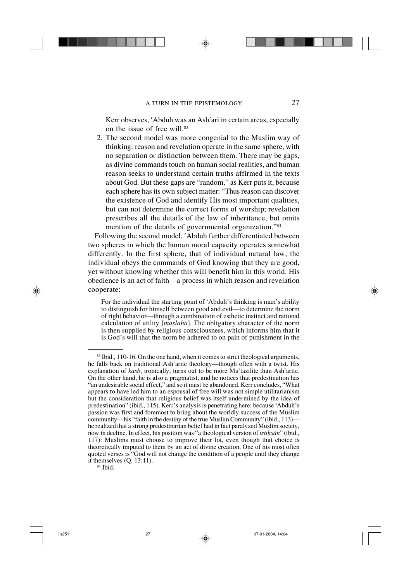Kerr observes, Abduh was an Ash arī in certain areas, especially on the issue of free will.<sup>83</sup>

2. The second model was more congenial to the Muslim way of thinking: reason and revelation operate in the same sphere, with no separation or distinction between them. There may be gaps, as divine commands touch on human social realities, and human reason seeks to understand certain truths affirmed in the texts about God. But these gaps are "random," as Kerr puts it, because each sphere has its own subject matter: "Thus reason can discover the existence of God and identify His most important qualities, but can not determine the correct forms of worship; revelation prescribes all the details of the law of inheritance, but omits mention of the details of governmental organization."84

Following the second model, 'Abduh further differentiated between two spheres in which the human moral capacity operates somewhat differently. In the first sphere, that of individual natural law, the individual obeys the commands of God knowing that they are good, yet without knowing whether this will benefit him in this world. His obedience is an act of faith—a process in which reason and revelation cooperate:

For the individual the starting point of 'Abduh's thinking is man's ability to distinguish for himself between good and evil—to determine the norm of right behavior—through a combination of esthetic instinct and rational calculation of utility [*ma◊laΩa*]. The obligatory character of the norm is then supplied by religious consciousness, which informs him that it is God's will that the norm be adhered to on pain of punishment in the

84 Ibid.

<sup>83</sup> Ibid., 110-16. On the one hand, when it comes to strict theological arguments, he falls back on traditional Ash'arite theology—though often with a twist. His explanation of *kasb*, ironically, turns out to be more Mu'tazilite than Ash'arite. On the other hand, he is also a pragmatist, and he notices that predestination has "an undesirable social effect," and so it must be abandoned. Kerr concludes, "What appears to have led him to an espousal of free will was not simple utilitarianism but the consideration that religious belief was itself undermined by the idea of predestination" (ibid., 115). Kerr's analysis is penetrating here: because 'Abduh's passion was first and foremost to bring about the worldly success of the Muslim community—his "faith in the destiny of the true Muslim Community" (ibid., 113) he realized that a strong predestinarian belief had in fact paralyzed Muslim society, now in decline. In effect, his position was "a theological version of *istihsan*" (ibid., 117): Muslims must choose to improve their lot, even though that choice is theoretically imputed to them by an act of divine creation. One of his most often quoted verses is "God will not change the condition of a people until they change it themselves (Q. 13:11).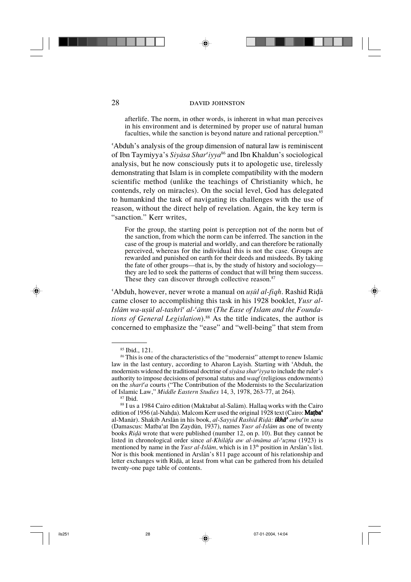afterlife. The norm, in other words, is inherent in what man perceives in his environment and is determined by proper use of natural human faculties, while the sanction is beyond nature and rational perception.<sup>85</sup>

ÆAbduh's analysis of the group dimension of natural law is reminiscent of Ibn Taymiyya's *Siyāsa Shar'iyya*<sup>86</sup> and Ibn Khaldun's sociological analysis, but he now consciously puts it to apologetic use, tirelessly demonstrating that Islam is in complete compatibility with the modern scientific method (unlike the teachings of Christianity which, he contends, rely on miracles). On the social level, God has delegated to humankind the task of navigating its challenges with the use of reason, without the direct help of revelation. Again, the key term is "sanction." Kerr writes,

For the group, the starting point is perception not of the norm but of the sanction, from which the norm can be inferred. The sanction in the case of the group is material and worldly, and can therefore be rationally perceived, whereas for the individual this is not the case. Groups are rewarded and punished on earth for their deeds and misdeeds. By taking the fate of other groups—that is, by the study of history and sociology they are led to seek the patterns of conduct that will bring them success. These they can discover through collective reason. $8<sup>7</sup>$ 

'Abduh, however, never wrote a manual on *uṣūl al-fiqh*. Rashīd Riḍā came closer to accomplishing this task in his 1928 booklet, *Yusr al-*Islām wa-usūl al-tashrī<sup>c</sup> al-cāmm (The Ease of Islam and the Founda*tions of General Legislation*).88 As the title indicates, the author is concerned to emphasize the "ease" and "well-being" that stem from

<sup>85</sup> Ibid., 121.

*<sup>86</sup>* This is one of the characteristics of the "modernist" attempt to renew Islamic law in the last century, according to Aharon Layish. Starting with 'Abduh, the modernists widened the traditional doctrine of *siyasa shar<sup>c</sup>iyya* to include the ruler's authority to impose decisions of personal status and *waqf* (religious endowments) on the *shart<sup>c</sup>a* courts ("The Contribution of the Modernists to the Secularization of Islamic Law," *Middle Eastern Studies* 14, 3, 1978, 263-77, at 264).

<sup>87</sup> Ibid.

<sup>88</sup> I us a 1984 Cairo edition (Maktabat al-Salām). Hallaq works with the Cairo edition of 1956 (al-Nahda). Malcom Kerr used the original 1928 text (Cairo: Matba<sup>c</sup> al-Manār). Shakīb Arslān in his book, *al-Sayyid Rashīd Ridā: ikhā<sup>3</sup> arba'īn sana* (Damascus: Matba'at Ibn Zaydūn, 1937), names *Yusr al-Islām* as one of twenty books *Ridā* wrote that were published (number 12, on p. 10). But they cannot be listed in chronological order since al-Khilāfa aw al-imāma al-'uzma (1923) is mentioned by name in the *Yusr al-Islām*, which is in 13<sup>th</sup> position in Arslān's list. Nor is this book mentioned in Arslan's 811 page account of his relationship and letter exchanges with Ridā, at least from what can be gathered from his detailed twenty-one page table of contents.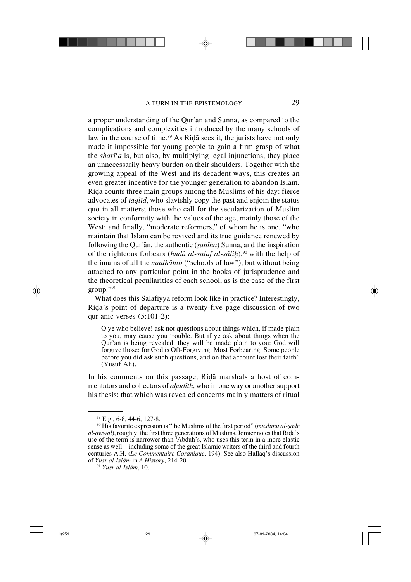a proper understanding of the Qur'an and Sunna, as compared to the complications and complexities introduced by the many schools of law in the course of time.<sup>89</sup> As Rida sees it, the jurists have not only made it impossible for young people to gain a firm grasp of what the *shari'a* is, but also, by multiplying legal injunctions, they place an unnecessarily heavy burden on their shoulders. Together with the growing appeal of the West and its decadent ways, this creates an even greater incentive for the younger generation to abandon Islam. Rida counts three main groups among the Muslims of his day: fierce advocates of *taqlid*, who slavishly copy the past and enjoin the status quo in all matters; those who call for the secularization of Muslim society in conformity with the values of the age, mainly those of the West; and finally, "moderate reformers," of whom he is one, "who maintain that Islam can be revived and its true guidance renewed by following the Qur'ān, the authentic (*sahīha*) Sunna, and the inspiration of the righteous forbears (*hudā al-salaf al-sālih*),<sup>90</sup> with the help of the imams of all the *madhahib* ("schools of law"), but without being attached to any particular point in the books of jurisprudence and the theoretical peculiarities of each school, as is the case of the first group."91

What does this Salafiyya reform look like in practice? Interestingly, Rida's point of departure is a twenty-five page discussion of two qur'anic verses  $(5:101-2)$ :

O ye who believe! ask not questions about things which, if made plain to you, may cause you trouble. But if ye ask about things when the Qur'an is being revealed, they will be made plain to you: God will forgive those: for God is Oft-Forgiving, Most Forbearing. Some people before you did ask such questions, and on that account lost their faith" (Yusuf Ali).

In his comments on this passage, Rida marshals a host of commentators and collectors of *ahadith*, who in one way or another support his thesis: that which was revealed concerns mainly matters of ritual

<sup>91</sup> Yusr al-Islām, 10.

<sup>89</sup> E.g., 6-8, 44-6, 127-8.

<sup>&</sup>lt;sup>90</sup> His favorite expression is "the Muslims of the first period" (*muslimu al-șadr al-awwal*), roughly, the first three generations of Muslims. Jomier notes that Rida's use of the term is narrower than 'Abduh's, who uses this term in a more elastic sense as well—including some of the great Islamic writers of the third and fourth centuries A.H. (*Le Commentaire Coranique,* 194). See also Hallaq's discussion of Yusr al-Islām in A History, 214-20.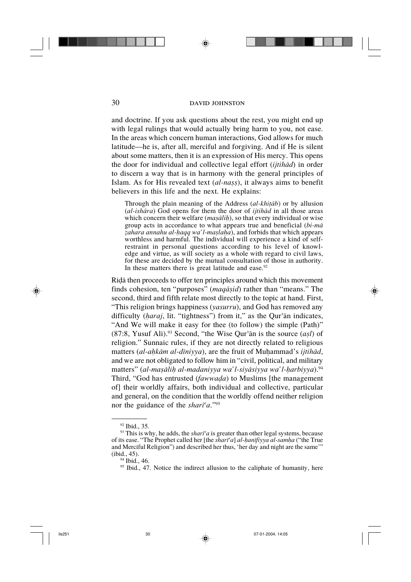and doctrine. If you ask questions about the rest, you might end up with legal rulings that would actually bring harm to you, not ease. In the areas which concern human interactions, God allows for much latitude—he is, after all, merciful and forgiving. And if He is silent about some matters, then it is an expression of His mercy. This opens the door for individual and collective legal effort *(ijtihad)* in order to discern a way that is in harmony with the general principles of Islam. As for His revealed text *(al-nass)*, it always aims to benefit believers in this life and the next. He explains:

Through the plain meaning of the Address (*al-khitāb*) or by allusion (*al-ishāra*) God opens for them the door of *ijtihād* in all those areas which concern their welfare (*ma*şālih), so that every individual or wise group acts in accordance to what appears true and beneficial (*bi-m®* zahara annahu al-haqq wa'l-maslaha), and forbids that which appears worthless and harmful. The individual will experience a kind of selfrestraint in personal questions according to his level of knowledge and virtue, as will society as a whole with regard to civil laws, for these are decided by the mutual consultation of those in authority. In these matters there is great latitude and ease. $92$ 

Ridā then proceeds to offer ten principles around which this movement finds cohesion, ten "purposes" (*maqāṣid*) rather than "means." The second, third and fifth relate most directly to the topic at hand. First, "This religion brings happiness (*yasurru*), and God has removed any difficulty (*haraj*, lit. "tightness") from it," as the Qur'ān indicates, "And We will make it easy for thee (to follow) the simple (Path)" (87:8, Yusuf Ali).<sup>93</sup> Second, "the Wise Qur'an is the source  $(asl)$  of religion." Sunnaic rules, if they are not directly related to religious matters (*al-ahkām al-dīniyya*), are the fruit of Muhammad's *ijtihād*, and we are not obligated to follow him in "civil, political, and military matters" (*al-masālih al-madaniyya wa'l-siyāsiyya wa'l-harbiyya*).<sup>94</sup> Third, "God has entrusted (*fawwada*) to Muslims [the management of] their worldly affairs, both individual and collective, particular and general, on the condition that the worldly offend neither religion nor the guidance of the *shari'a*."95

<sup>&</sup>lt;sup>92</sup> Ibid., 35.

<sup>&</sup>lt;sup>93</sup> This is why, he adds, the *sharī<sup>c</sup>a* is greater than other legal systems, because of its ease. "The Prophet called her [the *sharī<sup>c</sup>a*] *al-hanīfiyya al-samha* ("the True and Merciful Religion") and described her thus, 'her day and night are the same'" (ibid., 45).

<sup>94</sup> Ibid., 46.

 $95$  Ibid., 47. Notice the indirect allusion to the caliphate of humanity, here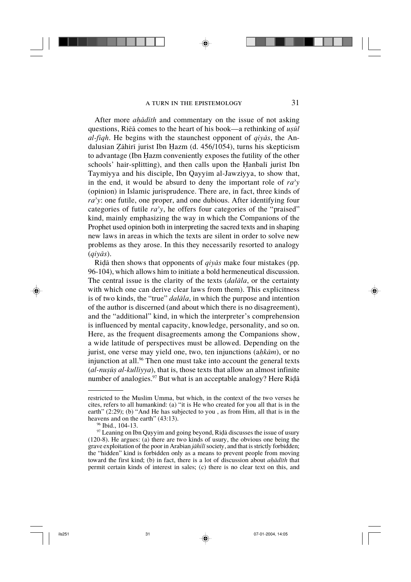After more *ahādīth* and commentary on the issue of not asking questions, Riēā comes to the heart of his book—a rethinking of *usūl al-fiqh*. He begins with the staunchest opponent of *qiyas*, the Andalusian Zāhirī jurist Ibn Hazm (d. 456/1054), turns his skepticism to advantage (Ibn Hazm conveniently exposes the futility of the other schools' hair-splitting), and then calls upon the Hanbali jurist Ibn Taymiyya and his disciple, Ibn Qayyim al-Jawziyya, to show that, in the end, it would be absurd to deny the important role of  $ra^2y$ (opinion) in Islamic jurisprudence. There are, in fact, three kinds of *ra*'y: one futile, one proper, and one dubious. After identifying four categories of futile *ra*<sup>2</sup>y, he offers four categories of the "praised" kind, mainly emphasizing the way in which the Companions of the Prophet used opinion both in interpreting the sacred texts and in shaping new laws in areas in which the texts are silent in order to solve new problems as they arose. In this they necessarily resorted to analogy (*qiy®s*).

Ridā then shows that opponents of *qiyās* make four mistakes (pp. 96-104), which allows him to initiate a bold hermeneutical discussion. The central issue is the clarity of the texts (*dalala*, or the certainty with which one can derive clear laws from them). This explicitness is of two kinds, the "true" *dalāla*, in which the purpose and intention of the author is discerned (and about which there is no disagreement), and the "additional" kind, in which the interpreter's comprehension is influenced by mental capacity, knowledge, personality, and so on. Here, as the frequent disagreements among the Companions show, a wide latitude of perspectives must be allowed. Depending on the jurist, one verse may yield one, two, ten injunctions (ahkam), or no injunction at all.<sup>96</sup> Then one must take into account the general texts (*al-nusūs al-kulliyya*), that is, those texts that allow an almost infinite number of analogies.<sup>97</sup> But what is an acceptable analogy? Here Rida

restricted to the Muslim Umma, but which, in the context of the two verses he cites, refers to all humankind: (a) "it is He who created for you all that is in the earth" (2:29); (b) "And He has subjected to you, as from Him, all that is in the heavens and on the earth" (43:13).

<sup>96</sup> Ibid., 104-13.

<sup>97</sup> Leaning on Ibn Qayyim and going beyond, Ridā discusses the issue of usury (120-8). He argues: (a) there are two kinds of usury, the obvious one being the grave exploitation of the poor in Arabian *jahili* society, and that is strictly forbidden; the "hidden" kind is forbidden only as a means to prevent people from moving toward the first kind; (b) in fact, there is a lot of discussion about *ahādīth* that permit certain kinds of interest in sales; (c) there is no clear text on this, and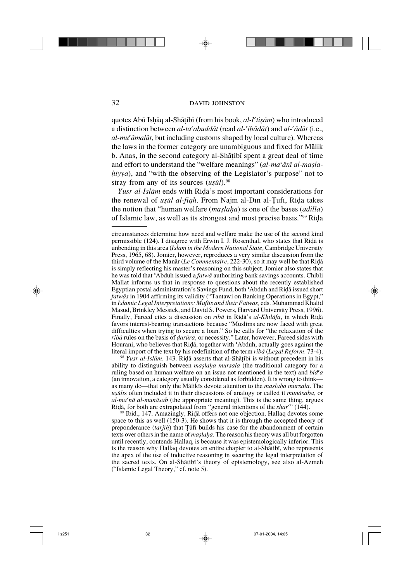quotes Abū Ishāq al-Shātibī (from his book, *al-I'tisām*) who introduced a distinction between *al-ta<sup>c</sup>abuddāt* (read *al-'ibādāt*) and *al-'ādāt* (i.e., *al-mu'āmalāt*, but including customs shaped by local culture). Whereas the laws in the former category are unambiguous and fixed for Mālik b. Anas, in the second category al-Shātibī spent a great deal of time and effort to understand the "welfare meanings" (al-ma<sup>c</sup>ani al-masla*hiyya*), and "with the observing of the Legislator's purpose" not to stray from any of its sources (*usūl*).<sup>98</sup>

*Yusr al-Islām* ends with Ridā's most important considerations for the renewal of *usūl al-fiqh*. From Najm al-Dīn al-Tūfī, Ridā takes the notion that "human welfare (*maslaha*) is one of the bases (*adilla*) of Islamic law, as well as its strongest and most precise basis."<sup>99</sup> Rida

<sup>98</sup> *Yusr al-Islām*, 143. Ridā asserts that al-Shāṭibī is without precedent in his ability to distinguish between *ma*slaha mursala (the traditional category for a ruling based on human welfare on an issue not mentioned in the text) and  $bid<sup>k</sup>a$ (an innovation, a category usually considered as forbidden). It is wrong to think as many do—that only the Mālikīs devote attention to the *maslaha mursala*. The *u*sualis often included it in their discussions of analogy or called it *munasaba*, or  $a$ *l-ma'nā al-munāsab* (the appropriate meaning). This is the same thing, argues Riḍā, for both are extrapolated from "general intentions of the *shar*" (144).

<sup>99</sup> Ibid., 147. Amazingly, Ridā offers not one objection. Hallaq devotes some space to this as well (150-3). He shows that it is through the accepted theory of preponderance (*tarjīh*) that Tūfī builds his case for the abandonment of certain texts over others in the name of *maslaha*. The reason his theory was all but forgotten until recently, contends Hallaq, is because it was epistemologically inferior. This is the reason why Hallaq devotes an entire chapter to al-Shāṭibī, who represents the apex of the use of inductive reasoning in securing the legal interpretation of the sacred texts. On al-Shāṭibī's theory of epistemology, see also al-Azmeh ("Islamic Legal Theory," cf. note 5).

circumstances determine how need and welfare make the use of the second kind permissible (124). I disagree with Erwin I. J. Rosenthal, who states that Rida is unbending in this area (*Islam in the Modern National State,* Cambridge University Press, 1965, 68). Jomier, however, reproduces a very similar discussion from the third volume of the Manar (*Le Commentaire*, 222-30), so it may well be that Rida is simply reflecting his master's reasoning on this subject. Jomier also states that he was told that 'Abduh issued a *fatwā* authorizing bank savings accounts. Chibli Mallat informs us that in response to questions about the recently established Egyptian postal administration's Savings Fund, both 'Abduh and Rida issued short *fatwās* in 1904 affirming its validity ("Tantawi on Banking Operations in Egypt," in *Islamic Legal Interpretations: Muftis and their Fatwas,* eds. Muhammad Khalid Masud, Brinkley Messick, and David S. Powers, Harvard University Press, 1996). Finally, Fareed cites a discussion on *ribā* in Riḍā's al-Khilāfa, in which Riḍā favors interest-bearing transactions because "Muslims are now faced with great difficulties when trying to secure a loan." So he calls for "the relaxation of the *ribā* rules on the basis of *darūra*, or necessity." Later, however, Fareed sides with Hourani, who believes that Ridā, together with 'Abduh, actually goes against the literal import of the text by his redefinition of the term *riba* (*Legal Reform*, 73-4).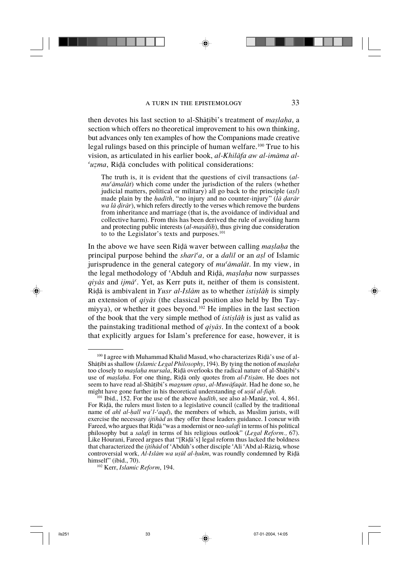then devotes his last section to al-Shātibī's treatment of *maslaha*, a section which offers no theoretical improvement to his own thinking, but advances only ten examples of how the Companions made creative legal rulings based on this principle of human welfare.<sup>100</sup> True to his vision, as articulated in his earlier book, *al-Khilāfa aw al-imāma al-*'uzma, Ridā concludes with political considerations:

The truth is, it is evident that the questions of civil transactions (*almu'amalat*) which come under the jurisdiction of the rulers (whether judicial matters, political or military) all go back to the principle (*a◊l*) made plain by the *hadīth*, "no injury and no counter-injury" (la darar *wa lā dirār*), which refers directly to the verses which remove the burdens from inheritance and marriage (that is, the avoidance of individual and collective harm). From this has been derived the rule of avoiding harm and protecting public interests (*al-maṣālih*), thus giving due consideration to to the Legislator's texts and purposes.<sup>101</sup>

In the above we have seen Rida waver between calling *maslaha* the principal purpose behind the *shart<sup>c</sup>a*, or a *dalil* or an *asl* of Islamic jurisprudence in the general category of  $mu<sup>c</sup>$  *amalat*. In my view, in the legal methodology of 'Abduh and Ridā, *maşlaha* now surpasses *qiyās* and *ijmā*<sup> $\epsilon$ </sup>. Yet, as Kerr puts it, neither of them is consistent. Ridā is ambivalent in *Yusr al-Islām* as to whether *istislāh* is simply an extension of *qiyās* (the classical position also held by Ibn Taymiyya), or whether it goes beyond.<sup>102</sup> He implies in the last section of the book that the very simple method of *istislah* is just as valid as the painstaking traditional method of *qiyas*. In the context of a book that explicitly argues for Islam's preference for ease, however, it is

<sup>&</sup>lt;sup>100</sup> I agree with Muhammad Khalid Masud, who characterizes Rida's use of al-Shāṭibī as shallow (*Islamic Legal Philosophy*, 194). By tying the notion of *maslaha* too closely to *maslaha mursala*, Ridā overlooks the radical nature of al-Shātibī's use of *maslaha*. For one thing, Rida only quotes from *al-I'tisam*. He does not seem to have read al-Shāṭibī's *magnum opus*, *al-Muwāfaqāt*. Had he done so, he might have gone further in his theoretical understanding of *usūl al-fiqh*.

<sup>&</sup>lt;sup>101</sup> Ibid., 152. For the use of the above *hadīth*, see also al-Manār, vol. 4, 861. For Rida, the rulers must listen to a legislative council (called by the traditional name of *ahl al-hall wa'l-'aqd*), the members of which, as Muslim jurists, will exercise the necessary *ijtihad* as they offer these leaders guidance. I concur with Fareed, who argues that Rida<sup>"</sup> was a modernist or neo-*salafi* in terms of his political philosophy but a *salafi* in terms of his religious outlook" (*Legal Reform.,* 67). Like Hourani, Fareed argues that "[Rida's] legal reform thus lacked the boldness that characterized the *ijtihād* of 'Abdūh's other disciple 'Alī 'Abd al-Rāziq, whose controversial work, Al-Islām wa usūl al-hukm, was roundly condemned by Ridā himself" (ibid., 70).

<sup>102</sup> Kerr, *Islamic Reform*, 194.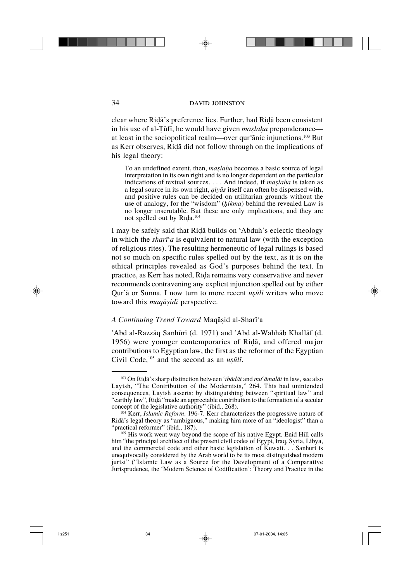clear where Ridā's preference lies. Further, had Ridā been consistent in his use of al-Tūfī, he would have given *maslaha* preponderance at least in the sociopolitical realm—over qur'anic injunctions.<sup>103</sup> But as Kerr observes, Ridā did not follow through on the implications of his legal theory:

To an undefined extent, then, *maşlaha* becomes a basic source of legal interpretation in its own right and is no longer dependent on the particular indications of textual sources. . . . And indeed, if *ma*slaha is taken as a legal source in its own right, *qiyas* itself can often be dispensed with, and positive rules can be decided on utilitarian grounds without the use of analogy, for the "wisdom" (*hikma*) behind the revealed Law is no longer inscrutable. But these are only implications, and they are not spelled out by Ridā.<sup>104</sup>

I may be safely said that Rida builds on 'Abduh's eclectic theology in which the *shart<sup>c</sup>a* is equivalent to natural law (with the exception of religious rites). The resulting hermeneutic of legal rulings is based not so much on specific rules spelled out by the text, as it is on the ethical principles revealed as God's purposes behind the text. In practice, as Kerr has noted, Ridā remains very conservative and never recommends contravening any explicit injunction spelled out by either Qur'ā or Sunna. I now turn to more recent *uṣūlī* writers who move toward this *maqāsidī* perspective.

#### *A Continuing Trend Toward Magasid al-Shari'a*

'Abd al-Razzāq Sanhūrī (d. 1971) and 'Abd al-Wahhāb Khallāf (d. 1956) were younger contemporaries of Rida, and offered major contributions to Egyptian law, the first as the reformer of the Egyptian Civil Code,<sup>105</sup> and the second as an *usūlī*.

<sup>&</sup>lt;sup>103</sup> On Riḍā's sharp distinction between 'ibādāt and mu'āmalāt in law, see also Layish, "The Contribution of the Modernists," 264. This had unintended consequences, Layish asserts: by distinguishing between "spiritual law" and "earthly law", Rida "made an appreciable contribution to the formation of a secular concept of the legislative authority" (ibid., 268).

<sup>104</sup> Kerr, *Islamic Reform,* 196-7. Kerr characterizes the progressive nature of Ridā's legal theory as "ambiguous," making him more of an "ideologist" than a "practical reformer" (ibid., 187).

<sup>&</sup>lt;sup>105</sup> His work went way beyond the scope of his native Egypt. Enid Hill calls him "the principal architect of the present civil codes of Egypt, Iraq, Syria, Libya, and the commercial code and other basic legislation of Kuwait. . . Sanhuri is unequivocally considered by the Arab world to be its most distinguished modern jurist" ("Islamic Law as a Source for the Development of a Comparative Jurisprudence, the 'Modern Science of Codification': Theory and Practice in the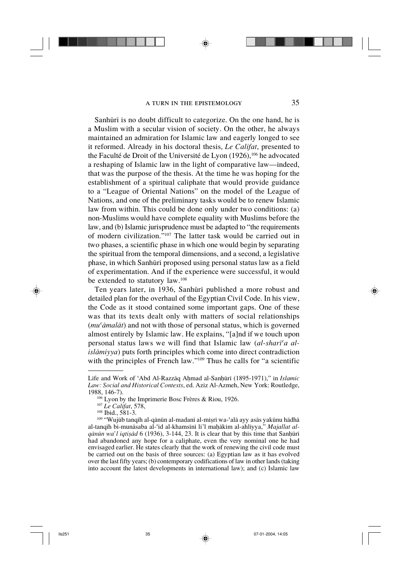Sanhūrī is no doubt difficult to categorize. On the one hand, he is a Muslim with a secular vision of society. On the other, he always maintained an admiration for Islamic law and eagerly longed to see it reformed. Already in his doctoral thesis, *Le Califat*, presented to the Faculté de Droit of the Université de Lyon (1926),<sup>106</sup> he advocated a reshaping of Islamic law in the light of comparative law—indeed, that was the purpose of the thesis. At the time he was hoping for the establishment of a spiritual caliphate that would provide guidance to a "League of Oriental Nations" on the model of the League of Nations, and one of the preliminary tasks would be to renew Islamic law from within. This could be done only under two conditions: (a) non-Muslims would have complete equality with Muslims before the law, and (b) Islamic jurisprudence must be adapted to "the requirements of modern civilization."107 The latter task would be carried out in two phases, a scientific phase in which one would begin by separating the spiritual from the temporal dimensions, and a second, a legislative phase, in which Sanhūrī proposed using personal status law as a field of experimentation. And if the experience were successful, it would be extended to statutory law.108

Ten years later, in 1936, Sanhūrī published a more robust and detailed plan for the overhaul of the Egyptian Civil Code. In his view, the Code as it stood contained some important gaps. One of these was that its texts dealt only with matters of social relationships (*mu<sup>c</sup>amalat*) and not with those of personal status, which is governed almost entirely by Islamic law. He explains, "[a]nd if we touch upon personal status laws we will find that Islamic law (al-shari<sup>c</sup>a al*islāmiyya*) puts forth principles which come into direct contradiction with the principles of French law."<sup>109</sup> Thus he calls for "a scientific

Life and Work of 'Abd Al-Razzāq Ahmad al-Sanhūrī (1895-1971)," in *Islamic Law: Social and Historical Contexts*, ed. Aziz Al-Azmeh, New York: Routledge, 1988, 146-7).

<sup>&</sup>lt;sup>106</sup> Lyon by the Imprimerie Bosc Frères & Riou, 1926.

<sup>107</sup> *Le Califat*, 578,

<sup>108</sup> Ibid., 581-3.

<sup>109 &</sup>quot;Wujūb tanqīh al-qānūn al-madanī al-miṣrī wa-'alā ayy asās yakūnu hādhā al-tanqīh bi-munāsaba al-ʿīd al-khamsīnī li'l maḥākim al-ahliyya," Majallat al*qānūn wa'l iqtiṣād* 6 (1936), 3-144, 23. It is clear that by this time that Sanhūrī had abandoned any hope for a caliphate, even the very nominal one he had envisaged earlier. He states clearly that the work of renewing the civil code must be carried out on the basis of three sources: (a) Egyptian law as it has evolved over the last fifty years; (b) contemporary codifications of law in other lands (taking into account the latest developments in international law); and (c) Islamic law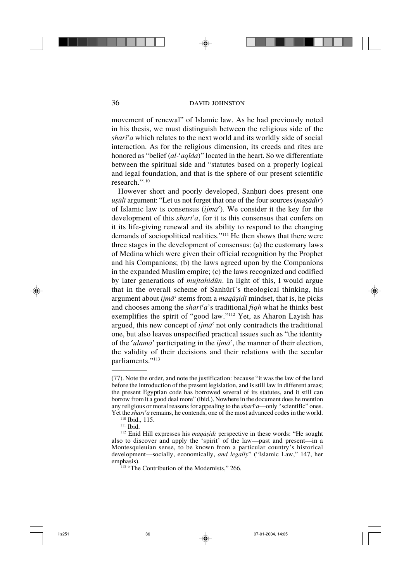movement of renewal" of Islamic law. As he had previously noted in his thesis, we must distinguish between the religious side of the *shart<sup>c</sup>a* which relates to the next world and its worldly side of social interaction. As for the religious dimension, its creeds and rites are honored as "belief (*al-'aqīda*)" located in the heart. So we differentiate between the spiritual side and "statutes based on a properly logical and legal foundation, and that is the sphere of our present scientific research."110

However short and poorly developed, Sanhūrī does present one *usūlī* argument: "Let us not forget that one of the four sources (*masādir*) of Islamic law is consensus *(ijmā<sup>c</sup>)*. We consider it the key for the development of this  $\text{shar}^{\tau}a$ , for it is this consensus that confers on it its life-giving renewal and its ability to respond to the changing demands of sociopolitical realities."111 He then shows that there were three stages in the development of consensus: (a) the customary laws of Medina which were given their official recognition by the Prophet and his Companions; (b) the laws agreed upon by the Companions in the expanded Muslim empire; (c) the laws recognized and codified by later generations of *mujtahid'n*. In light of this, I would argue that in the overall scheme of Sanhūrī's theological thinking, his argument about *ijmā*<sup>c</sup> stems from a *maqāṣidī* mindset, that is, he picks and chooses among the *shari'a*'s traditional *figh* what he thinks best exemplifies the spirit of "good law."112 Yet, as Aharon Layish has argued, this new concept of  $ijm\bar{a}^c$  not only contradicts the traditional one, but also leaves unspecified practical issues such as "the identity of the 'ulama' participating in the *ijma*', the manner of their election, the validity of their decisions and their relations with the secular parliaments."113

<sup>(77).</sup> Note the order, and note the justification: because "it was the law of the land before the introduction of the present legislation, and is still law in different areas; the present Egyptian code has borrowed several of its statutes, and it still can borrow from it a good deal more" (ibid*.*). Nowhere in the document does he mention any religious or moral reasons for appealing to the *shari*<sup>c</sup>a—only "scientific" ones. Yet the *shart<sup>c</sup>a* remains, he contends, one of the most advanced codes in the world.

<sup>&</sup>lt;sup>110</sup> Ibid., 115.

<sup>&</sup>lt;sup>111</sup> Ibid.

<sup>&</sup>lt;sup>112</sup> Enid Hill expresses his *maqāṣidī* perspective in these words: "He sought also to discover and apply the 'spirit' of the law—past and present—in a Montesquieuian sense, to be known from a particular country's historical development—socially, economically, *and legally*" ("Islamic Law," 147, her emphasis).

<sup>&</sup>lt;sup>113</sup> "The Contribution of the Modernists," 266.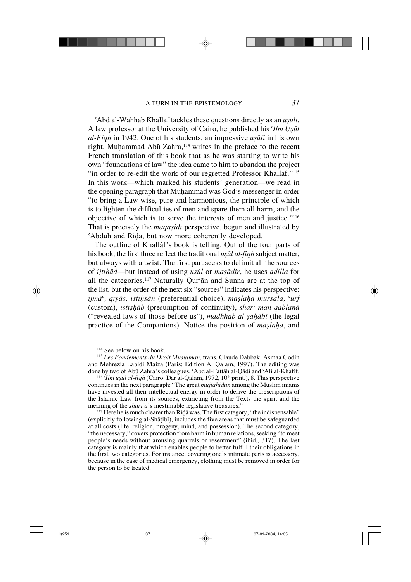Abd al-Wahhāb Khallāf tackles these questions directly as an *usuli*. A law professor at the University of Cairo, he published his *Ilm Uşūl al-Fiqh* in 1942. One of his students, an impressive *usūlī* in his own right, Muḥammad Abū Zahra,<sup>114</sup> writes in the preface to the recent French translation of this book that as he was starting to write his own "foundations of law" the idea came to him to abandon the project "in order to re-edit the work of our regretted Professor Khallāf."<sup>115</sup> In this work—which marked his students' generation—we read in the opening paragraph that Muhammad was God's messenger in order "to bring a Law wise, pure and harmonious, the principle of which is to lighten the difficulties of men and spare them all harm, and the objective of which is to serve the interests of men and justice."116 That is precisely the *maqāsidī* perspective, begun and illustrated by 'Abduh and Ridā, but now more coherently developed.

The outline of Khallaf's book is telling. Out of the four parts of his book, the first three reflect the traditional *usul al-figh* subject matter, but always with a twist. The first part seeks to delimit all the sources of *ijtih®d*—but instead of using *u◊'l* or *maרdir*, he uses *adilla* for all the categories.<sup>117</sup> Naturally Qur'an and Sunna are at the top of the list, but the order of the next six "sources" indicates his perspective: *ijmā<sup>c</sup>, qiyās, istihsān* (preferential choice), *maṣlaḥa mursala, 'urf* (custom), *istishāb* (presumption of continuity), *shar<sup>c</sup>* man qablanā ("revealed laws of those before us"), *madhhab al-sahābī* (the legal practice of the Companions). Notice the position of *maslaha*, and

<sup>117</sup> Here he is much clearer than Rida was. The first category, "the indispensable" (explicitly following al-Shāṭibī), includes the five areas that must be safeguarded at all costs (life, religion, progeny, mind, and possession). The second category, "the necessary," covers protection from harm in human relations, seeking "to meet people's needs without arousing quarrels or resentment" (ibid., 317). The last category is mainly that which enables people to better fulfill their obligations in the first two categories. For instance, covering one's intimate parts is accessory, because in the case of medical emergency, clothing must be removed in order for the person to be treated.

<sup>114</sup> See below on his book.

<sup>115</sup> *Les Fondements du Droit Musulman*, trans. Claude Dabbak, Asmaa Godin and Mehrezia Labidi Maiza (Paris: Edition Al Qalam, 1997). The editing was done by two of Abū Zahra's colleagues, 'Abd al-Fattāḥ al-Qāḍī and 'Alī al-Khafīf.

<sup>&</sup>lt;sup>116</sup> *Ilm usul al-fiqh* (Cairo: Dār al-Qalam, 1972, 10<sup>th</sup> print.), 8. This perspective continues in the next paragraph: "The great *mujtahid'n* among the Muslim imams have invested all their intellectual energy in order to derive the prescriptions of the Islamic Law from its sources, extracting from the Texts the spirit and the meaning of the *shart<sup>c</sup>a*'s inestimable legislative treasures."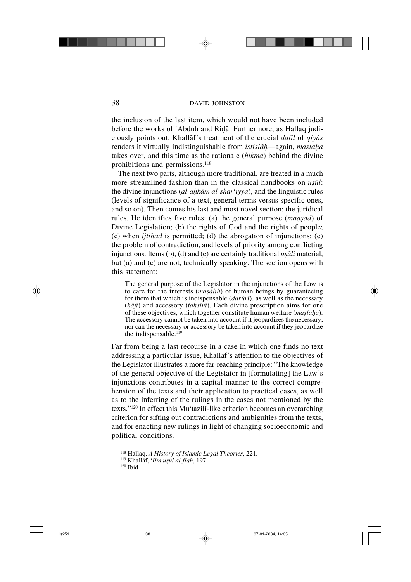the inclusion of the last item, which would not have been included before the works of 'Abduh and Ridā. Furthermore, as Hallaq judiciously points out, Khallaf's treatment of the crucial *dalil* of *qiyas* renders it virtually indistinguishable from *isti◊l®Ω*—again, *ma◊laΩa* takes over, and this time as the rationale (*hikma*) behind the divine prohibitions and permissions.118

The next two parts, although more traditional, are treated in a much more streamlined fashion than in the classical handbooks on *u*sūl: the divine injunctions (*al-ahkām al-shar<sup>c</sup>iyya*), and the linguistic rules (levels of significance of a text, general terms versus specific ones, and so on). Then comes his last and most novel section: the juridical rules. He identifies five rules: (a) the general purpose (*maqsad*) of Divine Legislation; (b) the rights of God and the rights of people; (c) when *ijtih®d* is permitted; (d) the abrogation of injunctions; (e) the problem of contradiction, and levels of priority among conflicting injunctions. Items (b), (d) and (e) are certainly traditional  $u\overline{s}u\overline{l}\overline{l}$  material, but (a) and (c) are not, technically speaking. The section opens with this statement:

The general purpose of the Legislator in the injunctions of the Law is to care for the interests (*maṣālih*) of human beings by guaranteeing for them that which is indispensable (*darūrī*), as well as the necessary (*hājī*) and accessory (*taḥsīnī*). Each divine prescription aims for one of these objectives, which together constitute human welfare (*maslaha*). The accessory cannot be taken into account if it jeopardizes the necessary, nor can the necessary or accessory be taken into account if they jeopardize the indispensable.<sup>11</sup>

Far from being a last recourse in a case in which one finds no text addressing a particular issue, Khallaf's attention to the objectives of the Legislator illustrates a more far-reaching principle: "The knowledge of the general objective of the Legislator in [formulating] the Law's injunctions contributes in a capital manner to the correct comprehension of the texts and their application to practical cases, as well as to the inferring of the rulings in the cases not mentioned by the texts."<sup>120</sup> In effect this Mu'tazili-like criterion becomes an overarching criterion for sifting out contradictions and ambiguities from the texts, and for enacting new rulings in light of changing socioeconomic and political conditions.

<sup>118</sup> Hallaq, *A History of Islamic Legal Theories*, 221.

<sup>119</sup> Khall®f, *ÆIlm u◊'l al-fiqh*, 197.

<sup>120</sup> Ibid*.*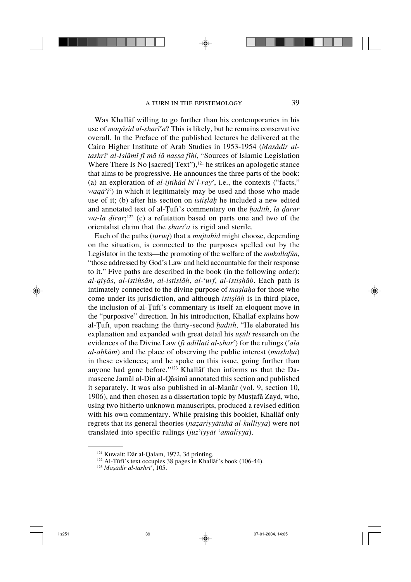Was Khallaf willing to go further than his contemporaries in his use of *maqāṣid al-sharī'a*? This is likely, but he remains conservative overall. In the Preface of the published lectures he delivered at the Cairo Higher Institute of Arab Studies in 1953-1954 (Masādir al*tashrī<sup>c</sup> al-Islāmī fī mā lā nassa fīhi*, "Sources of Islamic Legislation Where There Is No [sacred]  $Text$ "),<sup>121</sup> he strikes an apologetic stance that aims to be progressive. He announces the three parts of the book: (a) an exploration of *al-ijtihād bi'l-ray*<sup>2</sup>, i.e., the contexts ("facts," *waqā*<sup>2</sup>*i*<sup>c</sup>) in which it legitimately may be used and those who made use of it; (b) after his section on *istislah* he included a new edited and annotated text of al-Tūfi's commentary on the *hadīth*, *lā darar wa-lā dirār*;<sup>122</sup> (c) a refutation based on parts one and two of the orientalist claim that the *shart<sup>'</sup>a* is rigid and sterile.

Each of the paths (*fluruq*) that a *mujtahid* might choose, depending on the situation, is connected to the purposes spelled out by the Legislator in the texts—the promoting of the welfare of the *mukallafun*, "those addressed by God's Law and held accountable for their response to it." Five paths are described in the book (in the following order): *al-qiy®s, al-istiΩs®n, al-isti◊l®Ω, al-Æurf*, *al-isti◊Ω®b*. Each path is intimately connected to the divine purpose of *ma*slaha for those who come under its jurisdiction, and although *istislah* is in third place, the inclusion of al-Tūfi's commentary is itself an eloquent move in the "purposive" direction. In his introduction, Khallaf explains how al-Tūfī, upon reaching the thirty-second *hadīth*, "He elaborated his explanation and expanded with great detail his *ușuli* research on the evidences of the Divine Law (*fi adillati al-shar*<sup>c</sup>) for the rulings (*'alā al-ahkām*) and the place of observing the public interest (*maslaha*) in these evidences; and he spoke on this issue, going further than anyone had gone before."<sup>123</sup> Khallaf then informs us that the Damascene Jamāl al-Dīn al-Qāsimī annotated this section and published it separately. It was also published in al-Manar (vol. 9, section 10, 1906), and then chosen as a dissertation topic by Mustafa Zayd, who, using two hitherto unknown manuscripts, produced a revised edition with his own commentary. While praising this booklet, Khallaf only regrets that its general theories (*nazariyyātuhā al-kulliyya*) were not translated into specific rulings (*juz'iyyāt 'amaliyya*).

<sup>&</sup>lt;sup>121</sup> Kuwait: Dār al-Qalam, 1972, 3d printing.

<sup>&</sup>lt;sup>122</sup> Al-Tūfi's text occupies 38 pages in Khallāf's book (106-44).

<sup>&</sup>lt;sup>123</sup> Masādir al-tashrī<sup>c</sup>, 105.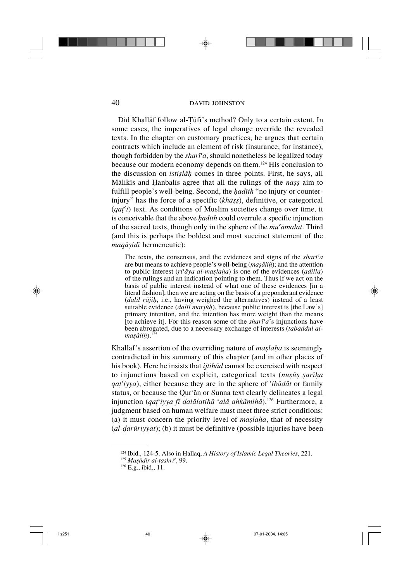Did Khallaf follow al-Tūfi's method? Only to a certain extent. In some cases, the imperatives of legal change override the revealed texts. In the chapter on customary practices, he argues that certain contracts which include an element of risk (insurance, for instance), though forbidden by the *shart<sup>c</sup>a*, should nonetheless be legalized today because our modern economy depends on them.124 His conclusion to the discussion on *istislah* comes in three points. First, he says, all Mālikīs and Hanbalīs agree that all the rulings of the *nass* aim to fulfill people's well-being. Second, the *hadth* "no injury or counterinjury" has the force of a specific (*khāss*), definitive, or categorical  $(q\bar{a}t^{\epsilon}\bar{l})$  text. As conditions of Muslim societies change over time, it is conceivable that the above *hadīth* could overrule a specific injunction of the sacred texts, though only in the sphere of the  $mu'$ <sub>amalat</sub>. Third (and this is perhaps the boldest and most succinct statement of the *maqāsidī* hermeneutic):

The texts, the consensus, and the evidences and signs of the *shart<sup>ca</sup>* are but means to achieve people's well-being (*maṣāliḥ*); and the attention to public interest (*ri<sup>caya al-maslaha*) is one of the evidences (*adilla*)</sup> of the rulings and an indication pointing to them. Thus if we act on the basis of public interest instead of what one of these evidences [in a literal fashion], then we are acting on the basis of a preponderant evidence (*dalīl rājih*, i.e., having weighed the alternatives) instead of a least suitable evidence (*dalīl marjūḥ*), because public interest is [the Law's] primary intention, and the intention has more weight than the means [to achieve it]. For this reason some of the *shari'a's* injunctions have been abrogated, due to a necessary exchange of interests (*tabaddul al*masālih).<sup>125</sup>

Khallaf's assertion of the overriding nature of *maslaha* is seemingly contradicted in his summary of this chapter (and in other places of his book). Here he insists that *ijtihad* cannot be exercised with respect to injunctions based on explicit, categorical texts (*nuṣūṣ ṣarīḥa dat'ivya*), either because they are in the sphere of *'ibadat* or family status, or because the Qur'ān or Sunna text clearly delineates a legal injunction (qat'iyya fī dalālatihā 'alā aḥkāmihā).<sup>126</sup> Furthermore, a judgment based on human welfare must meet three strict conditions: (a) it must concern the priority level of *maslaha*, that of necessity  $(al-dar\overline{u}r\overline{v}yat)$ ; (b) it must be definitive (possible injuries have been

<sup>124</sup> Ibid., 124-5. Also in Hallaq, *A History of Islamic Legal Theories*, 221.

<sup>&</sup>lt;sup>125</sup> Masādir al-tashrī<sup>c</sup>, 99.

<sup>126</sup> E.g., ibid., 11.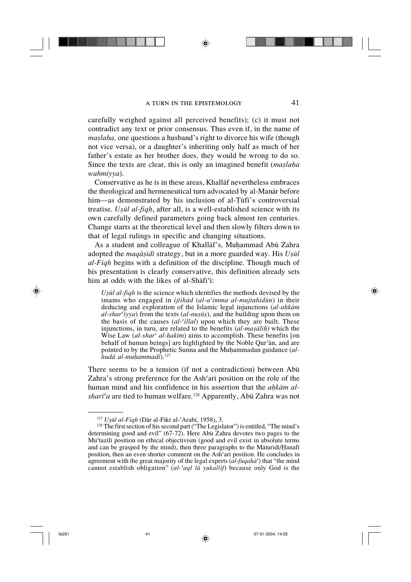carefully weighed against all perceived benefits); (c) it must not contradict any text or prior consensus. Thus even if, in the name of *maslaha*, one questions a husband's right to divorce his wife (though not vice versa), or a daughter's inheriting only half as much of her father's estate as her brother does, they would be wrong to do so. Since the texts are clear, this is only an imagined benefit (*maslaha wahmiyya*).

Conservative as he is in these areas, Khallaf nevertheless embraces the theological and hermeneutical turn advocated by al-Manar before him—as demonstrated by his inclusion of al-Tūfi's controversial treatise. *U*sūl al-figh, after all, is a well-established science with its own carefully defined parameters going back almost ten centuries. Change starts at the theoretical level and then slowly filters down to that of legal rulings in specific and changing situations.

As a student and colleague of Khallaf's, Muhammad Abū Zahra adopted the *maqāsidī* strategy, but in a more guarded way. His *Usūl al-Fiqh* begins with a definition of the discipline. Though much of his presentation is clearly conservative, this definition already sets him at odds with the likes of al-Shāfi'i:

Usūl al-fiqh is the science which identifies the methods devised by the imams who engaged in *ijtihād* (*al-a<sup>3</sup>imma al-mujtahidūn*) in their deducing and exploration of the Islamic legal injunctions (al-ahkām *al-shar<sup>ci</sup>yya*) from the texts (*al-nusūs*), and the building upon them on the basis of the causes (*al-'illal*) upon which they are built. These injunctions, in turn, are related to the benefits (*al-ma*șālih) which the Wise Law (*al-shar<sup>c</sup> al-hakim*) aims to accomplish. These benefits [on behalf of human beings] are highlighted by the Noble Qur'an, and are pointed to by the Prophetic Sunna and the Muḥammadan guidance (al*hudā al-muhammadī*).<sup>127</sup>

There seems to be a tension (if not a contradiction) between Abu Zahra's strong preference for the Ash'ari position on the role of the human mind and his confidence in his assertion that the *ahkām alsharī'a* are tied to human welfare.<sup>128</sup> Apparently, Abū Zahra was not

<sup>&</sup>lt;sup>127</sup> *Uşūl al-Fiqh* (Dār al-Fikr al-'Arabī, 1958), 3.

<sup>&</sup>lt;sup>128</sup> The first section of his second part ("The Legislator") is entitled, "The mind's determining good and evil" (67-72). Here Abū Zahra devotes two pages to the Mu'tazilī position on ethical objectivism (good and evil exist in absolute terms and can be grasped by the mind), then three paragraphs to the Māturīdī/Ḥanafī position, then an even shorter comment on the Ash'arī position. He concludes in agreement with the great majority of the legal experts (*al-fuqahā*<sup>2</sup>) that "the mind cannot establish obligation" (al-'aql la yukallif) because only God is the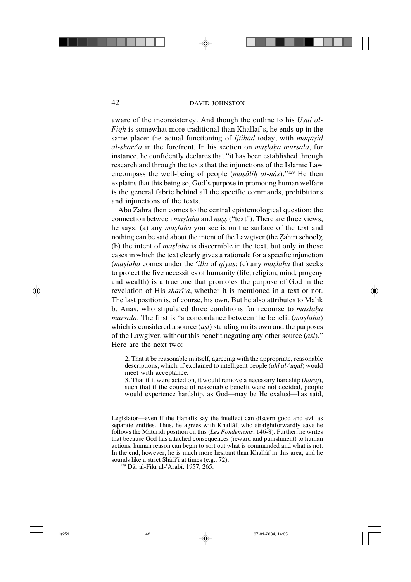aware of the inconsistency. And though the outline to his *Usūl al*-*Figh* is somewhat more traditional than Khallaf's, he ends up in the same place: the actual functioning of *ijtihad* today, with *maqasid al-sharī'a* in the forefront. In his section on *maslaha mursala*, for instance, he confidently declares that "it has been established through research and through the texts that the injunctions of the Islamic Law encompass the well-being of people (*masālih al-nās*)."<sup>129</sup> He then explains that this being so, God's purpose in promoting human welfare is the general fabric behind all the specific commands, prohibitions and injunctions of the texts.

Ab' Zahra then comes to the central epistemological question: the connection between *maslaha* and *nass* ("text"). There are three views, he says: (a) any *maslaha* you see is on the surface of the text and nothing can be said about the intent of the Lawgiver (the Zāhirī school); (b) the intent of *maslaha* is discernible in the text, but only in those cases in which the text clearly gives a rationale for a specific injunction (*ma*slaha comes under the 'illa of qiyās; (c) any *maslaha* that seeks to protect the five necessities of humanity (life, religion, mind, progeny and wealth) is a true one that promotes the purpose of God in the revelation of His *sharī'a*, whether it is mentioned in a text or not. The last position is, of course, his own. But he also attributes to Malik b. Anas, who stipulated three conditions for recourse to *maslaha mursala*. The first is "a concordance between the benefit (*maslaha*) which is considered a source (*asl*) standing on its own and the purposes of the Lawgiver, without this benefit negating any other source (*a◊l*)." Here are the next two:

2. That it be reasonable in itself, agreeing with the appropriate, reasonable descriptions, which, if explained to intelligent people (ahl al-'uqul) would meet with acceptance.

3. That if it were acted on, it would remove a necessary hardship (*haraj*), such that if the course of reasonable benefit were not decided, people would experience hardship, as God—may be He exalted—has said,

Legislator—even if the Hanafis say the intellect can discern good and evil as separate entities. Thus, he agrees with Khallaf, who straightforwardly says he follows the Māturīdī position on this (*Les Fondements*, 146-8). Further, he writes that because God has attached consequences (reward and punishment) to human actions, human reason can begin to sort out what is commanded and what is not. In the end, however, he is much more hesitant than Khallaf in this area, and he sounds like a strict Shafi<sup>c</sup> at times (e.g., 72).

<sup>&</sup>lt;sup>129</sup> Dār al-Fikr al-'Arabī, 1957, 265.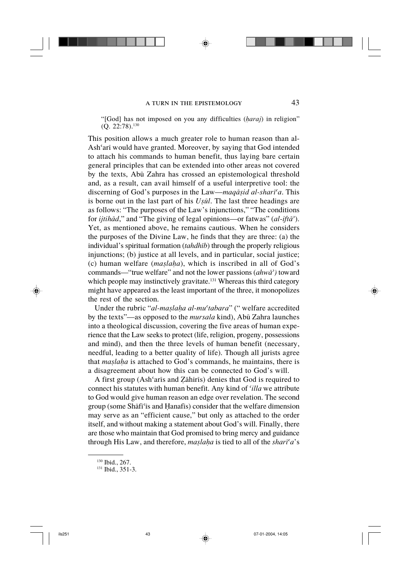"[God] has not imposed on you any difficulties (*haraj*) in religion"  $(Q. 22:78).<sup>130</sup>$ 

This position allows a much greater role to human reason than al-Ash'ari would have granted. Moreover, by saying that God intended to attach his commands to human benefit, thus laying bare certain general principles that can be extended into other areas not covered by the texts, Abū Zahra has crossed an epistemological threshold and, as a result, can avail himself of a useful interpretive tool: the discerning of God's purposes in the Law—*maqā* șid al-sharī<sup>c</sup>a. This is borne out in the last part of his *U*sūl. The last three headings are as follows: "The purposes of the Law's injunctions," "The conditions for *ijtihād*," and "The giving of legal opinions—or fatwas" (*al-ifta*<sup>2</sup>). Yet, as mentioned above, he remains cautious. When he considers the purposes of the Divine Law, he finds that they are three: (a) the individual's spiritual formation (*tahdhib*) through the properly religious injunctions; (b) justice at all levels, and in particular, social justice; (c) human welfare (*maslaha*), which is inscribed in all of God's commands—"true welfare" and not the lower passions (*ahwa*<sup>2</sup>) toward which people may instinctively gravitate.<sup>131</sup> Whereas this third category might have appeared as the least important of the three, it monopolizes the rest of the section.

Under the rubric "*al-ma*șlaha al-mu'tabara" (" welfare accredited by the texts"—as opposed to the *mursala* kind), Abū Zahra launches into a theological discussion, covering the five areas of human experience that the Law seeks to protect (life, religion, progeny, possessions and mind), and then the three levels of human benefit (necessary, needful, leading to a better quality of life). Though all jurists agree that *maslaha* is attached to God's commands, he maintains, there is a disagreement about how this can be connected to God's will.

A first group (Ash'aris and Zahiris) denies that God is required to connect his statutes with human benefit. Any kind of *'illa* we attribute to God would give human reason an edge over revelation. The second group (some Shafi's and Hanafis) consider that the welfare dimension may serve as an "efficient cause," but only as attached to the order itself, and without making a statement about God's will. Finally, there are those who maintain that God promised to bring mercy and guidance through His Law, and therefore, *maslaha* is tied to all of the *shart<sup>c</sup>a*'s

<sup>130</sup> Ibid., 267.

<sup>131</sup> Ibid., 351-3.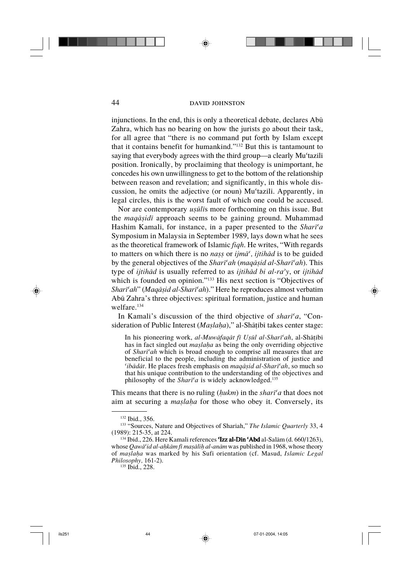injunctions. In the end, this is only a theoretical debate, declares Abu Zahra, which has no bearing on how the jurists go about their task, for all agree that "there is no command put forth by Islam except that it contains benefit for humankind."132 But this is tantamount to saying that everybody agrees with the third group—a clearly Mu'tazili position. Ironically, by proclaiming that theology is unimportant, he concedes his own unwillingness to get to the bottom of the relationship between reason and revelation; and significantly, in this whole discussion, he omits the adjective (or noun) Mu<sup>c</sup>tazili. Apparently, in legal circles, this is the worst fault of which one could be accused.

Nor are contemporary *usūlis* more forthcoming on this issue. But the *maqāṣidī* approach seems to be gaining ground. Muhammad Hashim Kamali, for instance, in a paper presented to the *Shart<sup>c</sup>a* Symposium in Malaysia in September 1989, lays down what he sees as the theoretical framework of Islamic *fiqh*. He writes, "With regards to matters on which there is no *nass* or *ijmā*<sup> $\epsilon$ </sup>, *ijtihād* is to be guided by the general objectives of the *Sharī*<sup>c</sup>ah (*maqāṣid al-Sharī<sup>c</sup>ah*). This type of *ijtihād* is usually referred to as *ijtihād bi al-ra'y*, or *ijtihād* which is founded on opinion."<sup>133</sup> His next section is "Objectives of *Sharī'ah*" (*Maqāṣid al-Sharī'ah*)." Here he reproduces almost verbatim Abū Zahra's three objectives: spiritual formation, justice and human welfare.<sup>134</sup>

In Kamali's discussion of the third objective of *shart'a*, "Consideration of Public Interest (*Maslaha*)," al-Shāṭibī takes center stage:

In his pioneering work, al-Muwāfaqāt fī Uṣūl al-Sharī'ah, al-Shāṭibī has in fact singled out *maslaha* as being the only overriding objective of *Sharī'ah* which is broad enough to comprise all measures that are beneficial to the people, including the administration of justice and *fibādāt*. He places fresh emphasis on *maqāṣid al-Sharī'ah*, so much so that his unique contribution to the understanding of the objectives and philosophy of the *Sharī'a* is widely acknowledged.<sup>135</sup>

This means that there is no ruling (*hukm*) in the *shart<sup>c</sup>a* that does not aim at securing a *maslaha* for those who obey it. Conversely, its

135 Ibid., 228.

<sup>132</sup> Ibid., 356.

<sup>133 &</sup>quot;Sources, Nature and Objectives of Shariah," *The Islamic Quarterly* 33, 4 (1989): 215-35, at 224.

<sup>134</sup> Ibid., 226. Here Kamali references **Tzz al-Dīn 'Abd** al-Salām (d. 660/1263), whose Qawa<sup>c</sup>id al-ahkām fī maṣālih al-anām was published in 1968, whose theory of *ma*slaha was marked by his Sufi orientation (cf. Masud, *Islamic Legal Philosophy,* 161-2).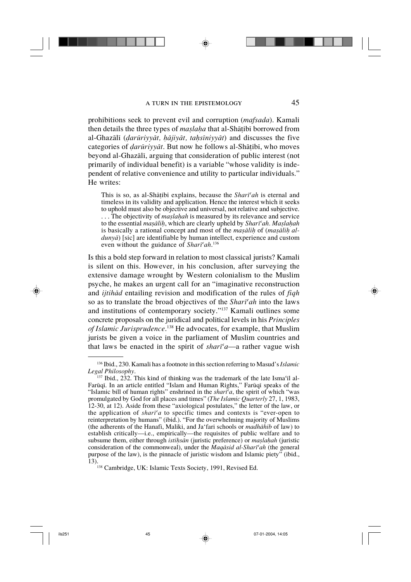prohibitions seek to prevent evil and corruption (*mafsada*). Kamali then details the three types of *maslaha* that al-Shāṭibī borrowed from al-Ghazālī (*darūriyyāt, hājiyāt, taḥsīniyyāt*) and discusses the five categories of *darūriyyāt*. But now he follows al-Shāṭibī, who moves beyond al-Ghazālī, arguing that consideration of public interest (not primarily of individual benefit) is a variable "whose validity is independent of relative convenience and utility to particular individuals." He writes:

This is so, as al-Shātibī explains, because the *Sharī'ah* is eternal and timeless in its validity and application. Hence the interest which it seeks to uphold must also be objective and universal, not relative and subjective. ... The objectivity of *maṣlaḥah* is measured by its relevance and service to the essential *masālih*, which are clearly upheld by *Sharī'ah. Maslahah* is basically a rational concept and most of the *masalih* of (*masalih aldunyā*) [sic] are identifiable by human intellect, experience and custom even without the guidance of *Shari'ah*.<sup>136</sup>

Is this a bold step forward in relation to most classical jurists? Kamali is silent on this. However, in his conclusion, after surveying the extensive damage wrought by Western colonialism to the Muslim psyche, he makes an urgent call for an "imaginative reconstruction and *ijtih®d* entailing revision and modification of the rules of *fiqh* so as to translate the broad objectives of the *Shart<sup>c</sup>ah* into the laws and institutions of contemporary society."137 Kamali outlines some concrete proposals on the juridical and political levels in his *Principles of Islamic Jurisprudence*. 138 He advocates, for example, that Muslim jurists be given a voice in the parliament of Muslim countries and that laws be enacted in the spirit of *shart<sup>c</sup>a*—a rather vague wish

<sup>136</sup> Ibid., 230. Kamali has a footnote in this section referring to Masud's *Islamic Legal Philosophy*.

 $137$  Ibid., 232. This kind of thinking was the trademark of the late Isma<sup> $\epsilon$ </sup>l al-Farūqī. In an article entitled "Islam and Human Rights," Farūqī speaks of the "Islamic bill of human rights" enshrined in the  $shar\bar{t}a$ , the spirit of which "was promulgated by God for all places and times" (*The Islamic Quarterly* 27, 1, 1983, 12-30, at 12). Aside from these "axiological postulates," the letter of the law, or the application of *shart<sup>c</sup>a* to specific times and contexts is "ever-open to reinterpretation by humans" (ibid.). "For the overwhelming majority of Muslims (the adherents of the Hanafi, Maliki, and Ja'fari schools or *madhahib* of law) to establish critically—i.e., empirically—the requisites of public welfare and to subsume them, either through *istihsān* (juristic preference) or *maşlahah* (juristic consideration of the commonweal), under the *Maqāsid al-Sharī'ah* (the general purpose of the law), is the pinnacle of juristic wisdom and Islamic piety" (ibid., 13).<br><sup>138</sup> Cambridge, UK: Islamic Texts Society, 1991, Revised Ed.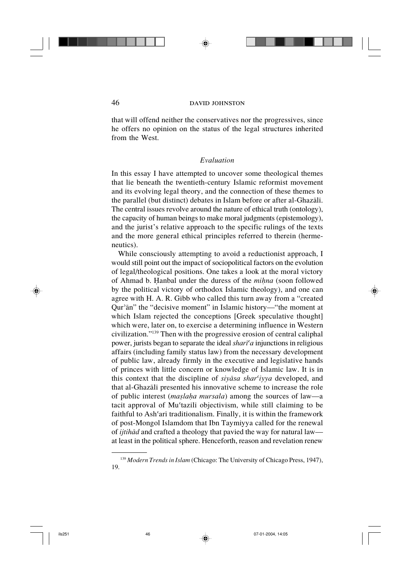that will offend neither the conservatives nor the progressives, since he offers no opinion on the status of the legal structures inherited from the West.

#### *Evaluation*

In this essay I have attempted to uncover some theological themes that lie beneath the twentieth-century Islamic reformist movement and its evolving legal theory, and the connection of these themes to the parallel (but distinct) debates in Islam before or after al-Ghazali. The central issues revolve around the nature of ethical truth (ontology), the capacity of human beings to make moral judgments (epistemology), and the jurist's relative approach to the specific rulings of the texts and the more general ethical principles referred to therein (hermeneutics).

While consciously attempting to avoid a reductionist approach, I would still point out the impact of sociopolitical factors on the evolution of legal/theological positions. One takes a look at the moral victory of Ahmad b. Hanbal under the duress of the *mihna* (soon followed by the political victory of orthodox Islamic theology), and one can agree with H. A. R. Gibb who called this turn away from a "created Qur'an" the "decisive moment" in Islamic history—"the moment at which Islam rejected the conceptions [Greek speculative thought] which were, later on, to exercise a determining influence in Western civilization."139 Then with the progressive erosion of central caliphal power, jurists began to separate the ideal *shar®a* injunctions in religious affairs (including family status law) from the necessary development of public law, already firmly in the executive and legislative hands of princes with little concern or knowledge of Islamic law. It is in this context that the discipline of *siyāsa shar'iyya* developed, and that al-Ghazali presented his innovative scheme to increase the role of public interest (*maslaha mursala*) among the sources of law—a tacit approval of Mu'tazili objectivism, while still claiming to be faithful to Ash'arī traditionalism. Finally, it is within the framework of post-Mongol Islamdom that Ibn Taymiyya called for the renewal of *ijtihad* and crafted a theology that pavied the way for natural law at least in the political sphere. Henceforth, reason and revelation renew

<sup>139</sup> *Modern Trends in Islam* (Chicago: The University of Chicago Press, 1947), 19.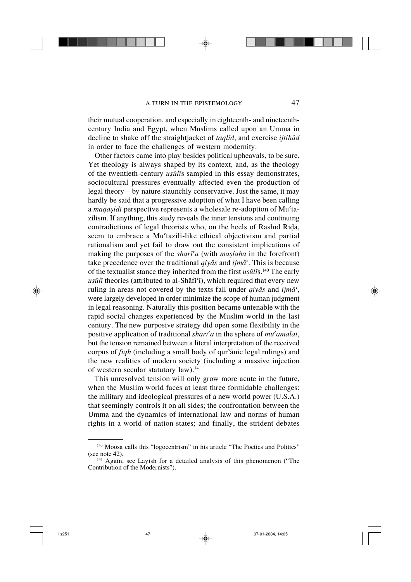their mutual cooperation, and especially in eighteenth- and nineteenthcentury India and Egypt, when Muslims called upon an Umma in decline to shake off the straightjacket of *taqlid*, and exercise *ijtihad* in order to face the challenges of western modernity.

Other factors came into play besides political upheavals, to be sure. Yet theology is always shaped by its context, and, as the theology of the twentieth-century *uṣūlīs* sampled in this essay demonstrates, sociocultural pressures eventually affected even the production of legal theory—by nature staunchly conservative. Just the same, it may hardly be said that a progressive adoption of what I have been calling a *maqāsidī* perspective represents a wholesale re-adoption of Mu<sup>c</sup>tazilism. If anything, this study reveals the inner tensions and continuing contradictions of legal theorists who, on the heels of Rashid Rida, seem to embrace a Mu'tazili-like ethical objectivism and partial rationalism and yet fail to draw out the consistent implications of making the purposes of the *shari<sup>c</sup>a* (with *maslaha* in the forefront) take precedence over the traditional *qiyās* and *ijmā*<sup>c</sup>. This is because of the textualist stance they inherited from the first  $u\overline{s}u\overline{l}$ <sup>140</sup> The early *usūlī* theories (attributed to al-Shāfiʻī), which required that every new ruling in areas not covered by the texts fall under *qiyās* and *ijmā*<sup>c</sup>, were largely developed in order minimize the scope of human judgment in legal reasoning. Naturally this position became untenable with the rapid social changes experienced by the Muslim world in the last century. The new purposive strategy did open some flexibility in the positive application of traditional *shart<sup>c</sup>a* in the sphere of *mu<sup>c</sup>amalat*, but the tension remained between a literal interpretation of the received corpus of *figh* (including a small body of qur'anic legal rulings) and the new realities of modern society (including a massive injection of western secular statutory law).<sup>141</sup>

This unresolved tension will only grow more acute in the future, when the Muslim world faces at least three formidable challenges: the military and ideological pressures of a new world power (U.S.A.) that seemingly controls it on all sides; the confrontation between the Umma and the dynamics of international law and norms of human rights in a world of nation-states; and finally, the strident debates

<sup>140</sup> Moosa calls this "logocentrism" in his article "The Poetics and Politics" (see note 42).

<sup>&</sup>lt;sup>141</sup> Again, see Layish for a detailed analysis of this phenomenon ("The Contribution of the Modernists").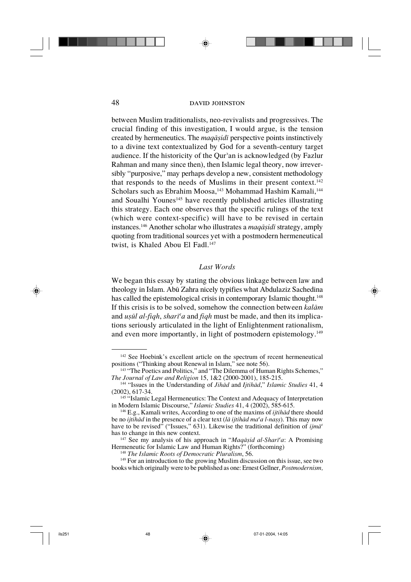between Muslim traditionalists, neo-revivalists and progressives. The crucial finding of this investigation, I would argue, is the tension created by hermeneutics. The *maqāṣidī* perspective points instinctively to a divine text contextualized by God for a seventh-century target audience. If the historicity of the Qur'an is acknowledged (by Fazlur Rahman and many since then), then Islamic legal theory, now irreversibly "purposive," may perhaps develop a new, consistent methodology that responds to the needs of Muslims in their present context.<sup>142</sup> Scholars such as Ebrahim Moosa,<sup>143</sup> Mohammad Hashim Kamali,<sup>144</sup> and Soualhi Younes<sup>145</sup> have recently published articles illustrating this strategy. Each one observes that the specific rulings of the text (which were context-specific) will have to be revised in certain instances.<sup>146</sup> Another scholar who illustrates a *maqāṣidī* strategy, amply quoting from traditional sources yet with a postmodern hermeneutical twist, is Khaled Abou El Fadl.<sup>147</sup>

## *Last Words*

We began this essay by stating the obvious linkage between law and theology in Islam. Abū Zahra nicely typifies what Abdulaziz Sachedina has called the epistemological crisis in contemporary Islamic thought.<sup>148</sup> If this crisis is to be solved, somehow the connection between *kalām* and *uşūl al-fiqh*, *sharī'a* and *fiqh* must be made, and then its implications seriously articulated in the light of Enlightenment rationalism, and even more importantly, in light of postmodern epistemology.<sup>149</sup>

<sup>&</sup>lt;sup>142</sup> See Hoebink's excellent article on the spectrum of recent hermeneutical positions ("Thinking about Renewal in Islam," see note 56).

<sup>&</sup>lt;sup>143</sup> "The Poetics and Politics," and "The Dilemma of Human Rights Schemes," *The Journal of Law and Religion* 15, 1&2 (2000-2001), 185-215.

<sup>&</sup>lt;sup>144</sup> "Issues in the Understanding of *Jihad* and *Ijtihad*," *Islamic Studies* 41, 4 (2002), 617-34.

<sup>&</sup>lt;sup>145</sup> "Islamic Legal Hermeneutics: The Context and Adequacy of Interpretation in Modern Islamic Discourse," *Islamic Studies* 41, 4 (2002), 585-615.

<sup>&</sup>lt;sup>146</sup> E.g., Kamali writes, According to one of the maxims of *ijtihad* there should be no *ijtihād* in the presence of a clear text (*lā ijtihād ma'a l-na*șș). This may now have to be revised<sup>"</sup> ("Issues," 631). Likewise the traditional definition of *ijmā*<sup>c</sup> has to change in this new context.

<sup>&</sup>lt;sup>147</sup> See my analysis of his approach in "*Maqāṣid al-Sharī'a*: A Promising Hermeneutic for Islamic Law and Human Rights?" (forthcoming)

<sup>148</sup> *The Islamic Roots of Democratic Pluralism*, 56.

<sup>&</sup>lt;sup>149</sup> For an introduction to the growing Muslim discussion on this issue, see two books which originally were to be published as one: Ernest Gellner, *Postmodernism,*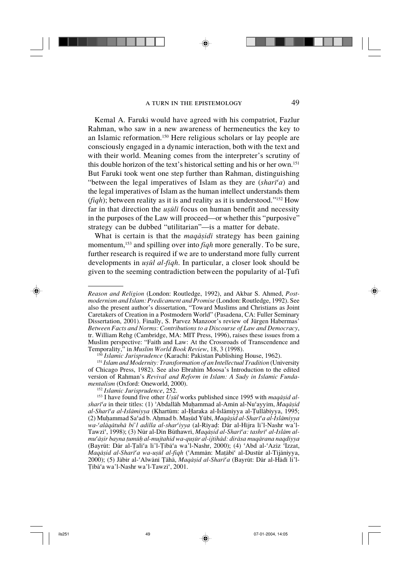Kemal A. Faruki would have agreed with his compatriot, Fazlur Rahman, who saw in a new awareness of hermeneutics the key to an Islamic reformation.150 Here religious scholars or lay people are consciously engaged in a dynamic interaction, both with the text and with their world. Meaning comes from the interpreter's scrutiny of this double horizon of the text's historical setting and his or her own.151 But Faruki took went one step further than Rahman, distinguishing "between the legal imperatives of Islam as they are (*shart<sup>c</sup>a*) and the legal imperatives of Islam as the human intellect understands them ( $fiqh$ ); between reality as it is and reality as it is understood."<sup>152</sup> How far in that direction the *u*suli focus on human benefit and necessity in the purposes of the Law will proceed—or whether this "purposive" strategy can be dubbed "utilitarian"—is a matter for debate.

What is certain is that the *maqāsidī* strategy has been gaining momentum,<sup>153</sup> and spilling over into *figh* more generally. To be sure, further research is required if we are to understand more fully current developments in *u*sūl al-figh. In particular, a closer look should be given to the seeming contradiction between the popularity of al-Tufi

*Reason and Religion* (London: Routledge, 1992), and Akbar S. Ahmed, *Postmodernism and Islam: Predicament and Promise* (London: Routledge, 1992). See also the present author's dissertation, "Toward Muslims and Christians as Joint Caretakers of Creation in a Postmodern World" (Pasadena, CA: Fuller Seminary Dissertation, 2001). Finally, S. Parvez Manzoor's review of Jürgen Habermas' *Between Facts and Norms: Contributions to a Discourse of Law and Democracy*, tr. William Rehg (Cambridge, MA: MIT Press, 1996), raises these issues from a Muslim perspective: "Faith and Law: At the Crossroads of Transcendence and Temporality," in *Muslim World Book Review*, 18, 3 (1998).

<sup>&</sup>lt;sup>0</sup> Islamic Jurisprudence (Karachi: Pakistan Publishing House, 1962).

<sup>151</sup> *Islam and Modernity: Transformation of an Intellectual Tradition* (University of Chicago Press, 1982). See also Ebrahim Moosa's Introduction to the edited version of Rahman's *Revival and Reform in Islam: A Sudy in Islamic Fundamentalism* (Oxford: Oneworld, 2000).

<sup>152</sup> *Islamic Jurisprudence*, 252.

<sup>&</sup>lt;sup>153</sup> I have found five other *Uşūl* works published since 1995 with *maqāṣid alsharī'a* in their titles: (1) 'Abdallāh Muḥammad al-Amīn al-Nu'ayyim, Maqāṣid *al-Sharī'a al-Islāmiyya* (Khartūm: al-Haraka al-Islāmiyya al-Tullābiyya, 1995; (2) Muḥammad Saʿad b. Aḥmad b. Maṣūd Yūbī, *Maqāṣid al-Sharīʿa al-Islāmiyya* wa-'alāqātuhā bi'l adilla al-shar'iyya (al-Riyad: Dār al-Hijra li'l-Nashr wa'l-Tawzī<sup>c</sup>, 1998); (3) Nūr al-Dīn Būthawrī, *Maqāṣid al-Sharī<sup>c</sup>a: tashrī<sup>c</sup> al-Islām almu*<sup>c</sup>āṣir bayna tumūḥ al-mujtahid wa-quṣūr al-ijtihād: dirāsa muqārana naqdiyya (Bayrūt: Dār al-Talī'a li'l-Tibā'a wa'l-Nashr, 2000); (4) 'Abd al-'Azīz 'Izzat, *Maqāṣid al-Sharī'a wa-uṣūl al-fiqh* ('Ammān: Maṭābi' al-Dustūr al-Tijāniyya, 2000); (5) Jābir al-ʿAlwānī Tāhā, *Maqāsid al-Sharīʿa* (Bayrūt: Dār al-Hādī li'l-Tibā'a wa'l-Nashr wa'l-Tawzī', 2001.